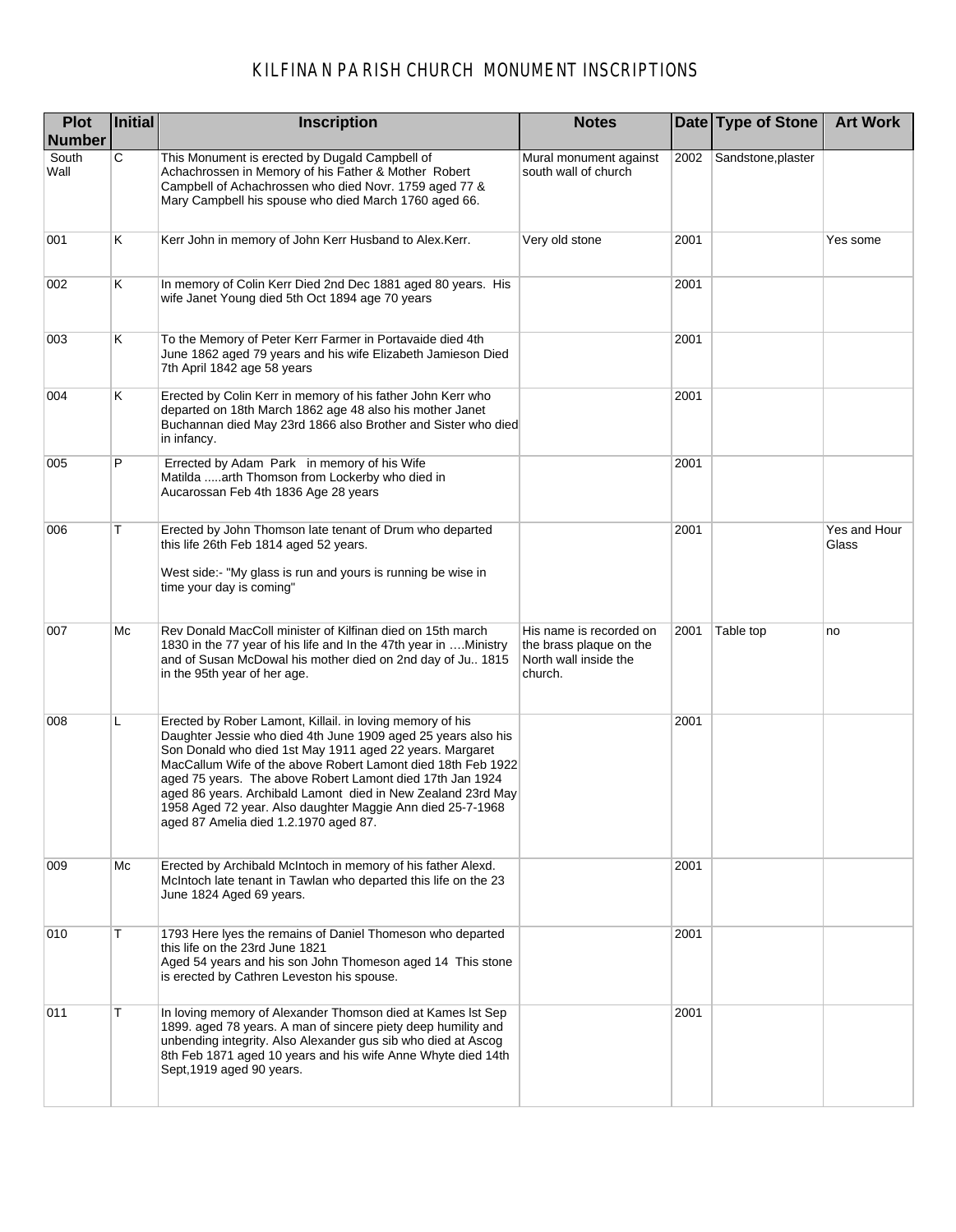| <b>Plot</b><br>Number | Initial | Inscription                                                                                                                                                                                                                                                                                                                                                                                                                                                                                | <b>Notes</b>                                                                           |      | Date Type of Stone | <b>Art Work</b>       |
|-----------------------|---------|--------------------------------------------------------------------------------------------------------------------------------------------------------------------------------------------------------------------------------------------------------------------------------------------------------------------------------------------------------------------------------------------------------------------------------------------------------------------------------------------|----------------------------------------------------------------------------------------|------|--------------------|-----------------------|
| South<br>Wall         | C       | This Monument is erected by Dugald Campbell of<br>Achachrossen in Memory of his Father & Mother Robert<br>Campbell of Achachrossen who died Novr. 1759 aged 77 &<br>Mary Campbell his spouse who died March 1760 aged 66.                                                                                                                                                                                                                                                                  | Mural monument against<br>south wall of church                                         | 2002 | Sandstone, plaster |                       |
| 001                   | ĸ       | Kerr John in memory of John Kerr Husband to Alex.Kerr.                                                                                                                                                                                                                                                                                                                                                                                                                                     | Very old stone                                                                         | 2001 |                    | Yes some              |
| 002                   | Κ       | In memory of Colin Kerr Died 2nd Dec 1881 aged 80 years. His<br>wife Janet Young died 5th Oct 1894 age 70 years                                                                                                                                                                                                                                                                                                                                                                            |                                                                                        | 2001 |                    |                       |
| 003                   | Κ       | To the Memory of Peter Kerr Farmer in Portavaide died 4th<br>June 1862 aged 79 years and his wife Elizabeth Jamieson Died<br>7th April 1842 age 58 years                                                                                                                                                                                                                                                                                                                                   |                                                                                        | 2001 |                    |                       |
| 004                   | Κ       | Erected by Colin Kerr in memory of his father John Kerr who<br>departed on 18th March 1862 age 48 also his mother Janet<br>Buchannan died May 23rd 1866 also Brother and Sister who died<br>in infancy.                                                                                                                                                                                                                                                                                    |                                                                                        | 2001 |                    |                       |
| 005                   | P       | Errected by Adam Park in memory of his Wife<br>Matilda arth Thomson from Lockerby who died in<br>Aucarossan Feb 4th 1836 Age 28 years                                                                                                                                                                                                                                                                                                                                                      |                                                                                        | 2001 |                    |                       |
| 006                   | т       | Erected by John Thomson late tenant of Drum who departed<br>this life 26th Feb 1814 aged 52 years.<br>West side: "My glass is run and yours is running be wise in<br>time your day is coming"                                                                                                                                                                                                                                                                                              |                                                                                        | 2001 |                    | Yes and Hour<br>Glass |
| 007                   | Мc      | Rev Donald MacColl minister of Kilfinan died on 15th march<br>1830 in the 77 year of his life and In the 47th year in Ministry<br>and of Susan McDowal his mother died on 2nd day of Ju 1815<br>in the 95th year of her age.                                                                                                                                                                                                                                                               | His name is recorded on<br>the brass plaque on the<br>North wall inside the<br>church. | 2001 | Table top          | no                    |
| 008                   | L       | Erected by Rober Lamont, Killail. in loving memory of his<br>Daughter Jessie who died 4th June 1909 aged 25 years also his<br>Son Donald who died 1st May 1911 aged 22 years. Margaret<br>MacCallum Wife of the above Robert Lamont died 18th Feb 1922<br>aged 75 years. The above Robert Lamont died 17th Jan 1924<br>aged 86 years. Archibald Lamont died in New Zealand 23rd May<br>1958 Aged 72 year. Also daughter Maggie Ann died 25-7-1968<br>aged 87 Amelia died 1.2.1970 aged 87. |                                                                                        | 2001 |                    |                       |
| 009                   | Мc      | Erected by Archibald McIntoch in memory of his father Alexd.<br>McIntoch late tenant in Tawlan who departed this life on the 23<br>June 1824 Aged 69 years.                                                                                                                                                                                                                                                                                                                                |                                                                                        | 2001 |                    |                       |
| 010                   | т       | 1793 Here Iyes the remains of Daniel Thomeson who departed<br>this life on the 23rd June 1821<br>Aged 54 years and his son John Thomeson aged 14 This stone<br>is erected by Cathren Leveston his spouse.                                                                                                                                                                                                                                                                                  |                                                                                        | 2001 |                    |                       |
| 011                   | т       | In loving memory of Alexander Thomson died at Kames Ist Sep<br>1899. aged 78 years. A man of sincere piety deep humility and<br>unbending integrity. Also Alexander gus sib who died at Ascog<br>8th Feb 1871 aged 10 years and his wife Anne Whyte died 14th<br>Sept, 1919 aged 90 years.                                                                                                                                                                                                 |                                                                                        | 2001 |                    |                       |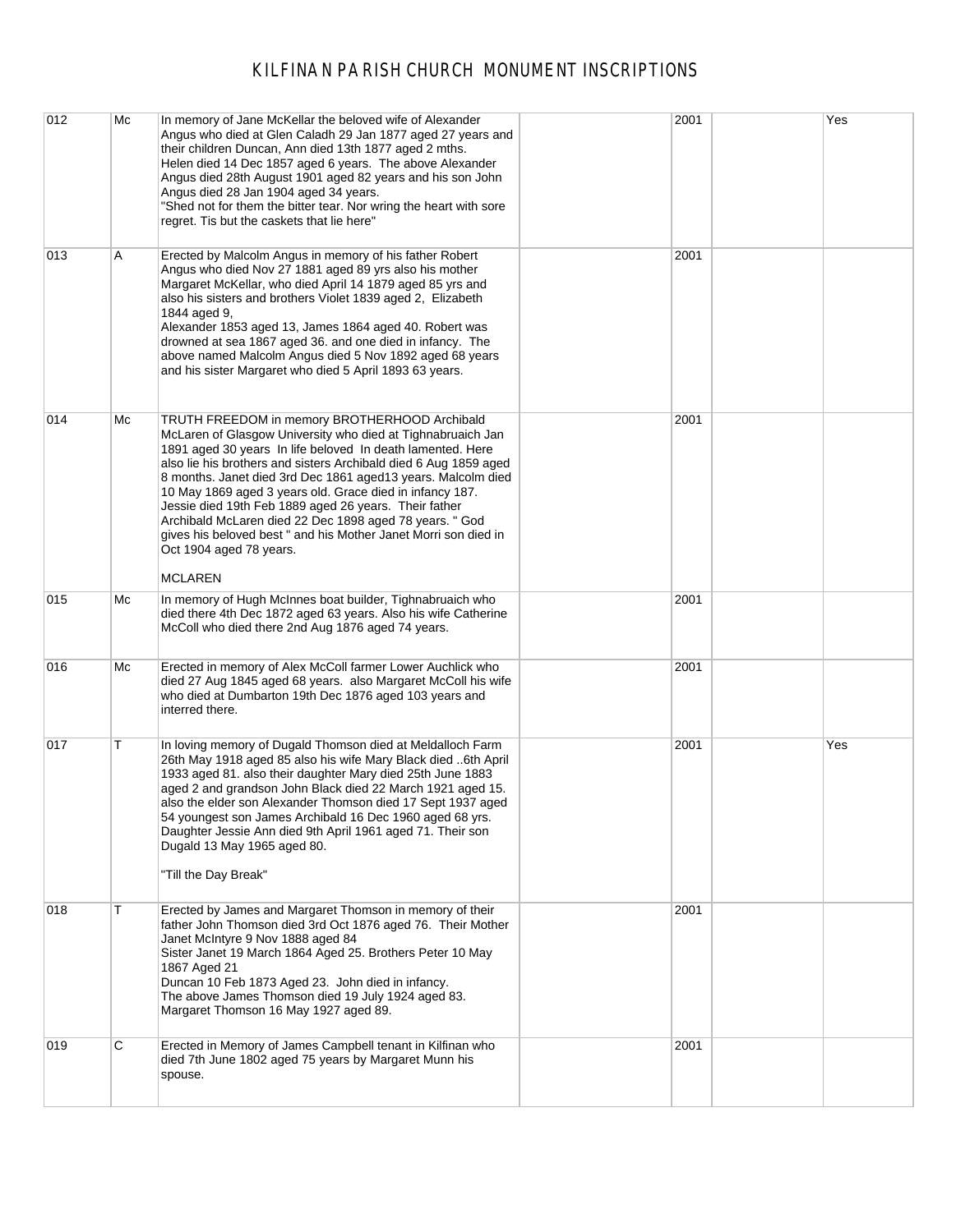| 012 | Mc | In memory of Jane McKellar the beloved wife of Alexander<br>Angus who died at Glen Caladh 29 Jan 1877 aged 27 years and<br>their children Duncan, Ann died 13th 1877 aged 2 mths.<br>Helen died 14 Dec 1857 aged 6 years. The above Alexander<br>Angus died 28th August 1901 aged 82 years and his son John<br>Angus died 28 Jan 1904 aged 34 years.<br>"Shed not for them the bitter tear. Nor wring the heart with sore<br>regret. Tis but the caskets that lie here"                                                                                                                      | 2001 | Yes |
|-----|----|----------------------------------------------------------------------------------------------------------------------------------------------------------------------------------------------------------------------------------------------------------------------------------------------------------------------------------------------------------------------------------------------------------------------------------------------------------------------------------------------------------------------------------------------------------------------------------------------|------|-----|
| 013 | Α  | Erected by Malcolm Angus in memory of his father Robert<br>Angus who died Nov 27 1881 aged 89 yrs also his mother<br>Margaret McKellar, who died April 14 1879 aged 85 yrs and<br>also his sisters and brothers Violet 1839 aged 2, Elizabeth<br>1844 aged 9,<br>Alexander 1853 aged 13, James 1864 aged 40. Robert was<br>drowned at sea 1867 aged 36. and one died in infancy. The<br>above named Malcolm Angus died 5 Nov 1892 aged 68 years<br>and his sister Margaret who died 5 April 1893 63 years.                                                                                   | 2001 |     |
| 014 | Мc | TRUTH FREEDOM in memory BROTHERHOOD Archibald<br>McLaren of Glasgow University who died at Tighnabruaich Jan<br>1891 aged 30 years In life beloved In death lamented. Here<br>also lie his brothers and sisters Archibald died 6 Aug 1859 aged<br>8 months. Janet died 3rd Dec 1861 aged13 years. Malcolm died<br>10 May 1869 aged 3 years old. Grace died in infancy 187.<br>Jessie died 19th Feb 1889 aged 26 years. Their father<br>Archibald McLaren died 22 Dec 1898 aged 78 years. " God<br>gives his beloved best " and his Mother Janet Morri son died in<br>Oct 1904 aged 78 years. | 2001 |     |
|     |    | <b>MCLAREN</b>                                                                                                                                                                                                                                                                                                                                                                                                                                                                                                                                                                               |      |     |
| 015 | Мc | In memory of Hugh McInnes boat builder, Tighnabruaich who<br>died there 4th Dec 1872 aged 63 years. Also his wife Catherine<br>McColl who died there 2nd Aug 1876 aged 74 years.                                                                                                                                                                                                                                                                                                                                                                                                             | 2001 |     |
| 016 | Мc | Erected in memory of Alex McColl farmer Lower Auchlick who<br>died 27 Aug 1845 aged 68 years. also Margaret McColl his wife<br>who died at Dumbarton 19th Dec 1876 aged 103 years and<br>interred there.                                                                                                                                                                                                                                                                                                                                                                                     | 2001 |     |
| 017 | т  | In loving memory of Dugald Thomson died at Meldalloch Farm<br>26th May 1918 aged 85 also his wife Mary Black died 6th April<br>1933 aged 81. also their daughter Mary died 25th June 1883<br>aged 2 and grandson John Black died 22 March 1921 aged 15.<br>also the elder son Alexander Thomson died 17 Sept 1937 aged<br>54 youngest son James Archibald 16 Dec 1960 aged 68 yrs.<br>Daughter Jessie Ann died 9th April 1961 aged 71. Their son<br>Dugald 13 May 1965 aged 80.<br>"Till the Day Break"                                                                                      | 2001 | Yes |
| 018 | т  | Erected by James and Margaret Thomson in memory of their<br>father John Thomson died 3rd Oct 1876 aged 76. Their Mother<br>Janet McIntyre 9 Nov 1888 aged 84<br>Sister Janet 19 March 1864 Aged 25. Brothers Peter 10 May<br>1867 Aged 21<br>Duncan 10 Feb 1873 Aged 23. John died in infancy.<br>The above James Thomson died 19 July 1924 aged 83.<br>Margaret Thomson 16 May 1927 aged 89.                                                                                                                                                                                                | 2001 |     |
| 019 | С  | Erected in Memory of James Campbell tenant in Kilfinan who<br>died 7th June 1802 aged 75 years by Margaret Munn his<br>spouse.                                                                                                                                                                                                                                                                                                                                                                                                                                                               | 2001 |     |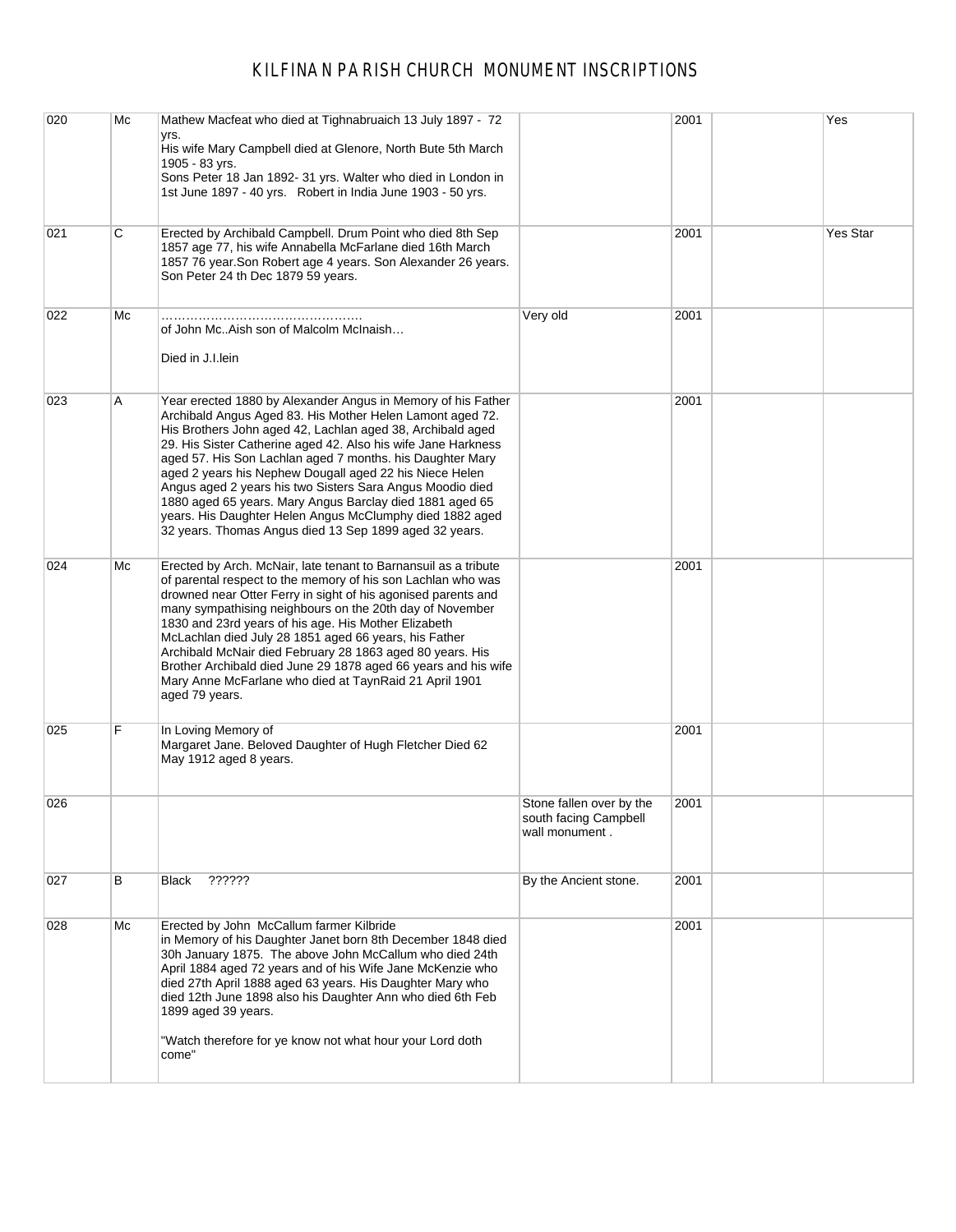| 020 | Mc | Mathew Macfeat who died at Tighnabruaich 13 July 1897 - 72                                                                                                                                                                                                                                                                                                                                                                                                                                                                                                                                                                      |                                                                     | 2001 | Yes      |
|-----|----|---------------------------------------------------------------------------------------------------------------------------------------------------------------------------------------------------------------------------------------------------------------------------------------------------------------------------------------------------------------------------------------------------------------------------------------------------------------------------------------------------------------------------------------------------------------------------------------------------------------------------------|---------------------------------------------------------------------|------|----------|
|     |    | yrs.<br>His wife Mary Campbell died at Glenore, North Bute 5th March<br>1905 - 83 yrs.                                                                                                                                                                                                                                                                                                                                                                                                                                                                                                                                          |                                                                     |      |          |
|     |    | Sons Peter 18 Jan 1892- 31 yrs. Walter who died in London in<br>1st June 1897 - 40 yrs. Robert in India June 1903 - 50 yrs.                                                                                                                                                                                                                                                                                                                                                                                                                                                                                                     |                                                                     |      |          |
| 021 | C  | Erected by Archibald Campbell. Drum Point who died 8th Sep<br>1857 age 77, his wife Annabella McFarlane died 16th March<br>1857 76 year. Son Robert age 4 years. Son Alexander 26 years.<br>Son Peter 24 th Dec 1879 59 years.                                                                                                                                                                                                                                                                                                                                                                                                  |                                                                     | 2001 | Yes Star |
| 022 | Мc | of John McAish son of Malcolm McInaish<br>Died in J.I.lein                                                                                                                                                                                                                                                                                                                                                                                                                                                                                                                                                                      | Very old                                                            | 2001 |          |
| 023 | Α  | Year erected 1880 by Alexander Angus in Memory of his Father<br>Archibald Angus Aged 83. His Mother Helen Lamont aged 72.<br>His Brothers John aged 42, Lachlan aged 38, Archibald aged<br>29. His Sister Catherine aged 42. Also his wife Jane Harkness<br>aged 57. His Son Lachlan aged 7 months. his Daughter Mary<br>aged 2 years his Nephew Dougall aged 22 his Niece Helen<br>Angus aged 2 years his two Sisters Sara Angus Moodio died<br>1880 aged 65 years. Mary Angus Barclay died 1881 aged 65<br>years. His Daughter Helen Angus McClumphy died 1882 aged<br>32 years. Thomas Angus died 13 Sep 1899 aged 32 years. |                                                                     | 2001 |          |
| 024 | Мc | Erected by Arch. McNair, late tenant to Barnansuil as a tribute<br>of parental respect to the memory of his son Lachlan who was<br>drowned near Otter Ferry in sight of his agonised parents and<br>many sympathising neighbours on the 20th day of November<br>1830 and 23rd years of his age. His Mother Elizabeth<br>McLachlan died July 28 1851 aged 66 years, his Father<br>Archibald McNair died February 28 1863 aged 80 years. His<br>Brother Archibald died June 29 1878 aged 66 years and his wife<br>Mary Anne McFarlane who died at TaynRaid 21 April 1901<br>aged 79 years.                                        |                                                                     | 2001 |          |
| 025 | F  | In Loving Memory of<br>Margaret Jane. Beloved Daughter of Hugh Fletcher Died 62<br>May 1912 aged 8 years.                                                                                                                                                                                                                                                                                                                                                                                                                                                                                                                       |                                                                     | 2001 |          |
| 026 |    |                                                                                                                                                                                                                                                                                                                                                                                                                                                                                                                                                                                                                                 | Stone fallen over by the<br>south facing Campbell<br>wall monument. | 2001 |          |
| 027 | В  | ??????<br>Black                                                                                                                                                                                                                                                                                                                                                                                                                                                                                                                                                                                                                 | By the Ancient stone.                                               | 2001 |          |
| 028 | Мc | Erected by John McCallum farmer Kilbride<br>in Memory of his Daughter Janet born 8th December 1848 died<br>30h January 1875. The above John McCallum who died 24th<br>April 1884 aged 72 years and of his Wife Jane McKenzie who<br>died 27th April 1888 aged 63 years. His Daughter Mary who<br>died 12th June 1898 also his Daughter Ann who died 6th Feb<br>1899 aged 39 years.<br>"Watch therefore for ye know not what hour your Lord doth                                                                                                                                                                                 |                                                                     | 2001 |          |
|     |    | come"                                                                                                                                                                                                                                                                                                                                                                                                                                                                                                                                                                                                                           |                                                                     |      |          |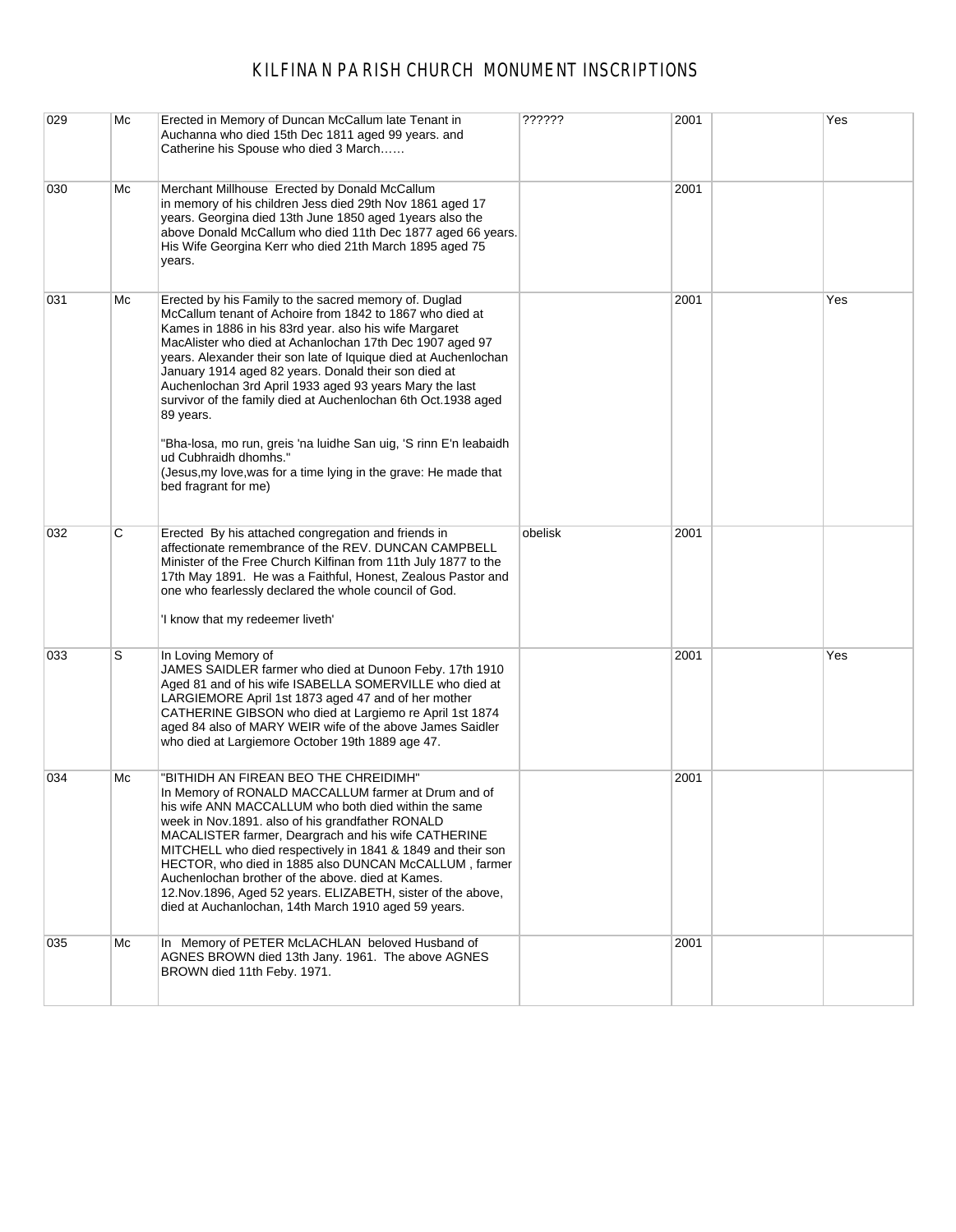| 029 | Mc | Erected in Memory of Duncan McCallum late Tenant in<br>Auchanna who died 15th Dec 1811 aged 99 years. and<br>Catherine his Spouse who died 3 March                                                                                                                                                                                                                                                                                                                                                                                                                                                                                                                                                    | ??????  | 2001 | Yes |
|-----|----|-------------------------------------------------------------------------------------------------------------------------------------------------------------------------------------------------------------------------------------------------------------------------------------------------------------------------------------------------------------------------------------------------------------------------------------------------------------------------------------------------------------------------------------------------------------------------------------------------------------------------------------------------------------------------------------------------------|---------|------|-----|
| 030 | Мc | Merchant Millhouse Erected by Donald McCallum<br>in memory of his children Jess died 29th Nov 1861 aged 17<br>years. Georgina died 13th June 1850 aged 1years also the<br>above Donald McCallum who died 11th Dec 1877 aged 66 years.<br>His Wife Georgina Kerr who died 21th March 1895 aged 75<br>years.                                                                                                                                                                                                                                                                                                                                                                                            |         | 2001 |     |
| 031 | Mс | Erected by his Family to the sacred memory of. Duglad<br>McCallum tenant of Achoire from 1842 to 1867 who died at<br>Kames in 1886 in his 83rd year. also his wife Margaret<br>MacAlister who died at Achanlochan 17th Dec 1907 aged 97<br>years. Alexander their son late of Iquique died at Auchenlochan<br>January 1914 aged 82 years. Donald their son died at<br>Auchenlochan 3rd April 1933 aged 93 years Mary the last<br>survivor of the family died at Auchenlochan 6th Oct.1938 aged<br>89 years.<br>"Bha-losa, mo run, greis 'na luidhe San uig, 'S rinn E'n leabaidh<br>ud Cubhraidh dhomhs."<br>(Jesus, my love, was for a time lying in the grave: He made that<br>bed fragrant for me) |         | 2001 | Yes |
| 032 | С  | Erected By his attached congregation and friends in<br>affectionate remembrance of the REV. DUNCAN CAMPBELL<br>Minister of the Free Church Kilfinan from 11th July 1877 to the<br>17th May 1891. He was a Faithful, Honest, Zealous Pastor and<br>one who fearlessly declared the whole council of God.<br>'I know that my redeemer liveth'                                                                                                                                                                                                                                                                                                                                                           | obelisk | 2001 |     |
| 033 | S  | In Loving Memory of<br>JAMES SAIDLER farmer who died at Dunoon Feby. 17th 1910<br>Aged 81 and of his wife ISABELLA SOMERVILLE who died at<br>LARGIEMORE April 1st 1873 aged 47 and of her mother<br>CATHERINE GIBSON who died at Largiemo re April 1st 1874<br>aged 84 also of MARY WEIR wife of the above James Saidler<br>who died at Largiemore October 19th 1889 age 47.                                                                                                                                                                                                                                                                                                                          |         | 2001 | Yes |
| 034 | Mс | 'BITHIDH AN FIREAN BEO THE CHREIDIMH"<br>In Memory of RONALD MACCALLUM farmer at Drum and of<br>his wife ANN MACCALLUM who both died within the same<br>week in Nov.1891. also of his grandfather RONALD<br>MACALISTER farmer, Deargrach and his wife CATHERINE<br>MITCHELL who died respectively in 1841 & 1849 and their son<br>HECTOR, who died in 1885 also DUNCAN McCALLUM, farmer<br>Auchenlochan brother of the above. died at Kames.<br>12. Nov. 1896, Aged 52 years. ELIZABETH, sister of the above,<br>died at Auchanlochan, 14th March 1910 aged 59 years.                                                                                                                                 |         | 2001 |     |
| 035 | Мc | In Memory of PETER McLACHLAN beloved Husband of<br>AGNES BROWN died 13th Jany. 1961. The above AGNES<br>BROWN died 11th Feby. 1971.                                                                                                                                                                                                                                                                                                                                                                                                                                                                                                                                                                   |         | 2001 |     |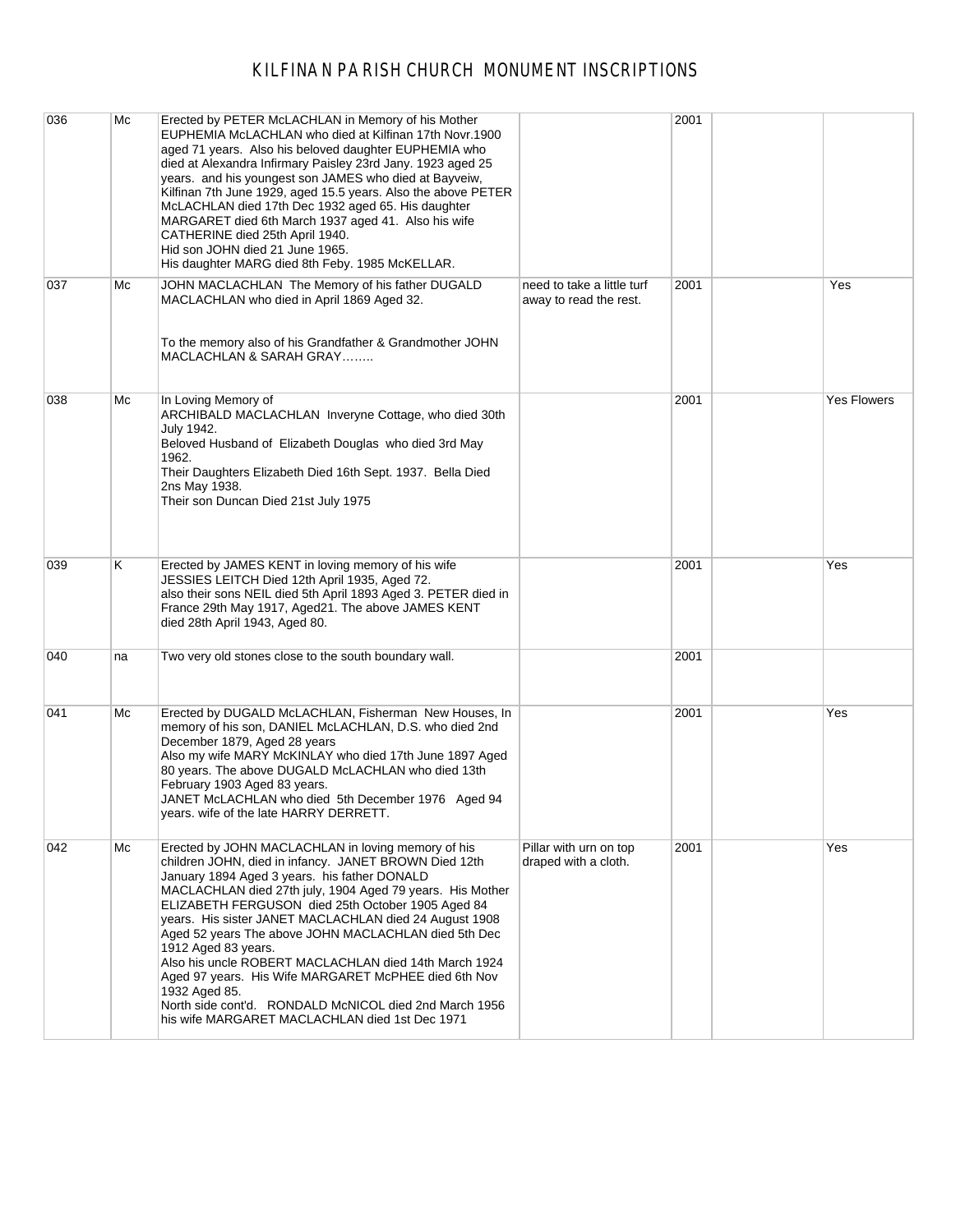| 036 | Мc | Erected by PETER McLACHLAN in Memory of his Mother<br>EUPHEMIA McLACHLAN who died at Kilfinan 17th Novr.1900<br>aged 71 years. Also his beloved daughter EUPHEMIA who<br>died at Alexandra Infirmary Paisley 23rd Jany. 1923 aged 25<br>years. and his youngest son JAMES who died at Bayveiw,<br>Kilfinan 7th June 1929, aged 15.5 years. Also the above PETER<br>McLACHLAN died 17th Dec 1932 aged 65. His daughter<br>MARGARET died 6th March 1937 aged 41. Also his wife<br>CATHERINE died 25th April 1940.<br>Hid son JOHN died 21 June 1965.<br>His daughter MARG died 8th Feby. 1985 McKELLAR.                                                                |                                                      | 2001 |                    |
|-----|----|----------------------------------------------------------------------------------------------------------------------------------------------------------------------------------------------------------------------------------------------------------------------------------------------------------------------------------------------------------------------------------------------------------------------------------------------------------------------------------------------------------------------------------------------------------------------------------------------------------------------------------------------------------------------|------------------------------------------------------|------|--------------------|
| 037 | Мc | JOHN MACLACHLAN The Memory of his father DUGALD<br>MACLACHLAN who died in April 1869 Aged 32.<br>To the memory also of his Grandfather & Grandmother JOHN<br>MACLACHLAN & SARAH GRAY                                                                                                                                                                                                                                                                                                                                                                                                                                                                                 | need to take a little turf<br>away to read the rest. | 2001 | Yes                |
| 038 | Мc | In Loving Memory of<br>ARCHIBALD MACLACHLAN Inveryne Cottage, who died 30th<br>July 1942.<br>Beloved Husband of Elizabeth Douglas who died 3rd May<br>1962.<br>Their Daughters Elizabeth Died 16th Sept. 1937. Bella Died<br>2ns May 1938.<br>Their son Duncan Died 21st July 1975                                                                                                                                                                                                                                                                                                                                                                                   |                                                      | 2001 | <b>Yes Flowers</b> |
| 039 | K. | Erected by JAMES KENT in loving memory of his wife<br>JESSIES LEITCH Died 12th April 1935, Aged 72.<br>also their sons NEIL died 5th April 1893 Aged 3. PETER died in<br>France 29th May 1917, Aged21. The above JAMES KENT<br>died 28th April 1943, Aged 80.                                                                                                                                                                                                                                                                                                                                                                                                        |                                                      | 2001 | Yes                |
| 040 | na | Two very old stones close to the south boundary wall.                                                                                                                                                                                                                                                                                                                                                                                                                                                                                                                                                                                                                |                                                      | 2001 |                    |
| 041 | Мc | Erected by DUGALD McLACHLAN, Fisherman New Houses, In<br>memory of his son, DANIEL McLACHLAN, D.S. who died 2nd<br>December 1879, Aged 28 years<br>Also my wife MARY McKINLAY who died 17th June 1897 Aged<br>80 years. The above DUGALD McLACHLAN who died 13th<br>February 1903 Aged 83 years.<br>JANET McLACHLAN who died 5th December 1976 Aged 94<br>years. wife of the late HARRY DERRETT.                                                                                                                                                                                                                                                                     |                                                      | 2001 | Yes                |
| 042 | Mc | Erected by JOHN MACLACHLAN in loving memory of his<br>children JOHN, died in infancy. JANET BROWN Died 12th<br>January 1894 Aged 3 years. his father DONALD<br>MACLACHLAN died 27th july, 1904 Aged 79 years. His Mother<br>ELIZABETH FERGUSON died 25th October 1905 Aged 84<br>years. His sister JANET MACLACHLAN died 24 August 1908<br>Aged 52 years The above JOHN MACLACHLAN died 5th Dec<br>1912 Aged 83 years.<br>Also his uncle ROBERT MACLACHLAN died 14th March 1924<br>Aged 97 years. His Wife MARGARET McPHEE died 6th Nov<br>1932 Aged 85.<br>North side cont'd. RONDALD McNICOL died 2nd March 1956<br>his wife MARGARET MACLACHLAN died 1st Dec 1971 | Pillar with urn on top<br>draped with a cloth.       | 2001 | Yes                |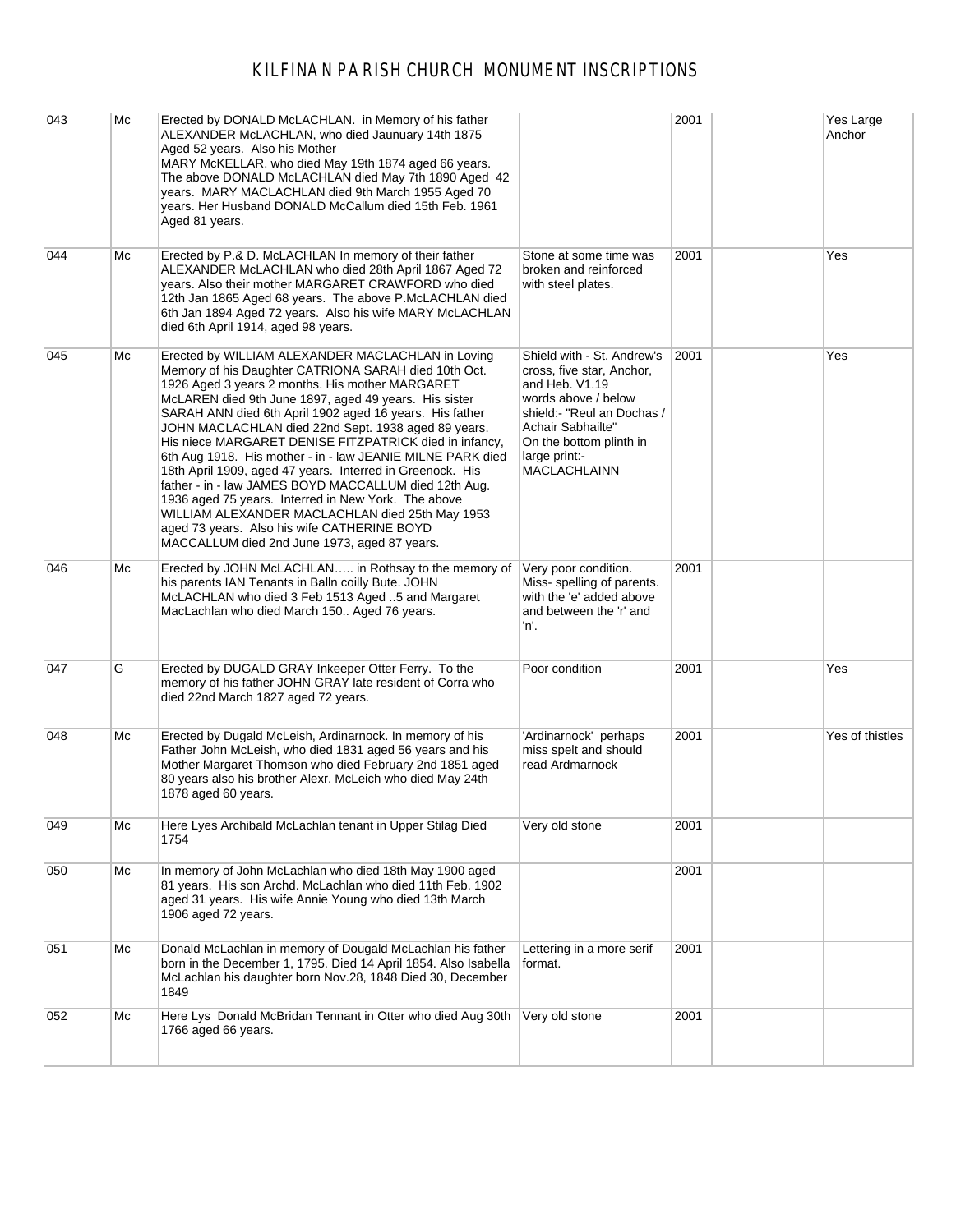| 043 | Mc | Erected by DONALD McLACHLAN. in Memory of his father<br>ALEXANDER McLACHLAN, who died Jaunuary 14th 1875<br>Aged 52 years. Also his Mother<br>MARY McKELLAR. who died May 19th 1874 aged 66 years.<br>The above DONALD McLACHLAN died May 7th 1890 Aged 42<br>years. MARY MACLACHLAN died 9th March 1955 Aged 70<br>years. Her Husband DONALD McCallum died 15th Feb. 1961<br>Aged 81 years.                                                                                                                                                                                                                                                                                                                                                                                                   |                                                                                                                                                                                                                        | 2001 | Yes Large<br>Anchor |
|-----|----|------------------------------------------------------------------------------------------------------------------------------------------------------------------------------------------------------------------------------------------------------------------------------------------------------------------------------------------------------------------------------------------------------------------------------------------------------------------------------------------------------------------------------------------------------------------------------------------------------------------------------------------------------------------------------------------------------------------------------------------------------------------------------------------------|------------------------------------------------------------------------------------------------------------------------------------------------------------------------------------------------------------------------|------|---------------------|
| 044 | Мc | Erected by P.& D. McLACHLAN In memory of their father<br>ALEXANDER McLACHLAN who died 28th April 1867 Aged 72<br>years. Also their mother MARGARET CRAWFORD who died<br>12th Jan 1865 Aged 68 years. The above P.McLACHLAN died<br>6th Jan 1894 Aged 72 years. Also his wife MARY McLACHLAN<br>died 6th April 1914, aged 98 years.                                                                                                                                                                                                                                                                                                                                                                                                                                                             | Stone at some time was<br>broken and reinforced<br>with steel plates.                                                                                                                                                  | 2001 | Yes                 |
| 045 | Мc | Erected by WILLIAM ALEXANDER MACLACHLAN in Loving<br>Memory of his Daughter CATRIONA SARAH died 10th Oct.<br>1926 Aged 3 years 2 months. His mother MARGARET<br>McLAREN died 9th June 1897, aged 49 years. His sister<br>SARAH ANN died 6th April 1902 aged 16 years. His father<br>JOHN MACLACHLAN died 22nd Sept. 1938 aged 89 years.<br>His niece MARGARET DENISE FITZPATRICK died in infancy,<br>6th Aug 1918. His mother - in - law JEANIE MILNE PARK died<br>18th April 1909, aged 47 years. Interred in Greenock. His<br>father - in - law JAMES BOYD MACCALLUM died 12th Aug.<br>1936 aged 75 years. Interred in New York. The above<br>WILLIAM ALEXANDER MACLACHLAN died 25th May 1953<br>aged 73 years. Also his wife CATHERINE BOYD<br>MACCALLUM died 2nd June 1973, aged 87 years. | Shield with - St. Andrew's<br>cross, five star, Anchor,<br>and Heb. V1.19<br>words above / below<br>shield:- "Reul an Dochas /<br>Achair Sabhailte"<br>On the bottom plinth in<br>large print:-<br><b>MACLACHLAINN</b> | 2001 | Yes                 |
| 046 | Мc | Erected by JOHN McLACHLAN in Rothsay to the memory of<br>his parents IAN Tenants in Balln coilly Bute. JOHN<br>McLACHLAN who died 3 Feb 1513 Aged 5 and Margaret<br>MacLachlan who died March 150 Aged 76 years.                                                                                                                                                                                                                                                                                                                                                                                                                                                                                                                                                                               | Very poor condition.<br>Miss-spelling of parents.<br>with the 'e' added above<br>and between the 'r' and<br>'n.                                                                                                        | 2001 |                     |
| 047 | G  | Erected by DUGALD GRAY Inkeeper Otter Ferry. To the<br>memory of his father JOHN GRAY late resident of Corra who<br>died 22nd March 1827 aged 72 years.                                                                                                                                                                                                                                                                                                                                                                                                                                                                                                                                                                                                                                        | Poor condition                                                                                                                                                                                                         | 2001 | Yes                 |
| 048 | Мc | Erected by Dugald McLeish, Ardinarnock. In memory of his<br>Father John McLeish, who died 1831 aged 56 years and his<br>Mother Margaret Thomson who died February 2nd 1851 aged<br>80 years also his brother Alexr. McLeich who died May 24th<br>1878 aged 60 years.                                                                                                                                                                                                                                                                                                                                                                                                                                                                                                                           | 'Ardinarnock' perhaps<br>miss spelt and should<br>read Ardmarnock                                                                                                                                                      | 2001 | Yes of thistles     |
| 049 | Мc | Here Lyes Archibald McLachlan tenant in Upper Stilag Died<br>1754                                                                                                                                                                                                                                                                                                                                                                                                                                                                                                                                                                                                                                                                                                                              | Very old stone                                                                                                                                                                                                         | 2001 |                     |
| 050 | Mc | In memory of John McLachlan who died 18th May 1900 aged<br>81 years. His son Archd. McLachlan who died 11th Feb. 1902<br>aged 31 years. His wife Annie Young who died 13th March<br>1906 aged 72 years.                                                                                                                                                                                                                                                                                                                                                                                                                                                                                                                                                                                        |                                                                                                                                                                                                                        | 2001 |                     |
| 051 | Мc | Donald McLachlan in memory of Dougald McLachlan his father<br>born in the December 1, 1795. Died 14 April 1854. Also Isabella<br>McLachlan his daughter born Nov.28, 1848 Died 30, December<br>1849                                                                                                                                                                                                                                                                                                                                                                                                                                                                                                                                                                                            | Lettering in a more serif<br>format.                                                                                                                                                                                   | 2001 |                     |
| 052 | Мc | Here Lys Donald McBridan Tennant in Otter who died Aug 30th<br>1766 aged 66 years.                                                                                                                                                                                                                                                                                                                                                                                                                                                                                                                                                                                                                                                                                                             | Very old stone                                                                                                                                                                                                         | 2001 |                     |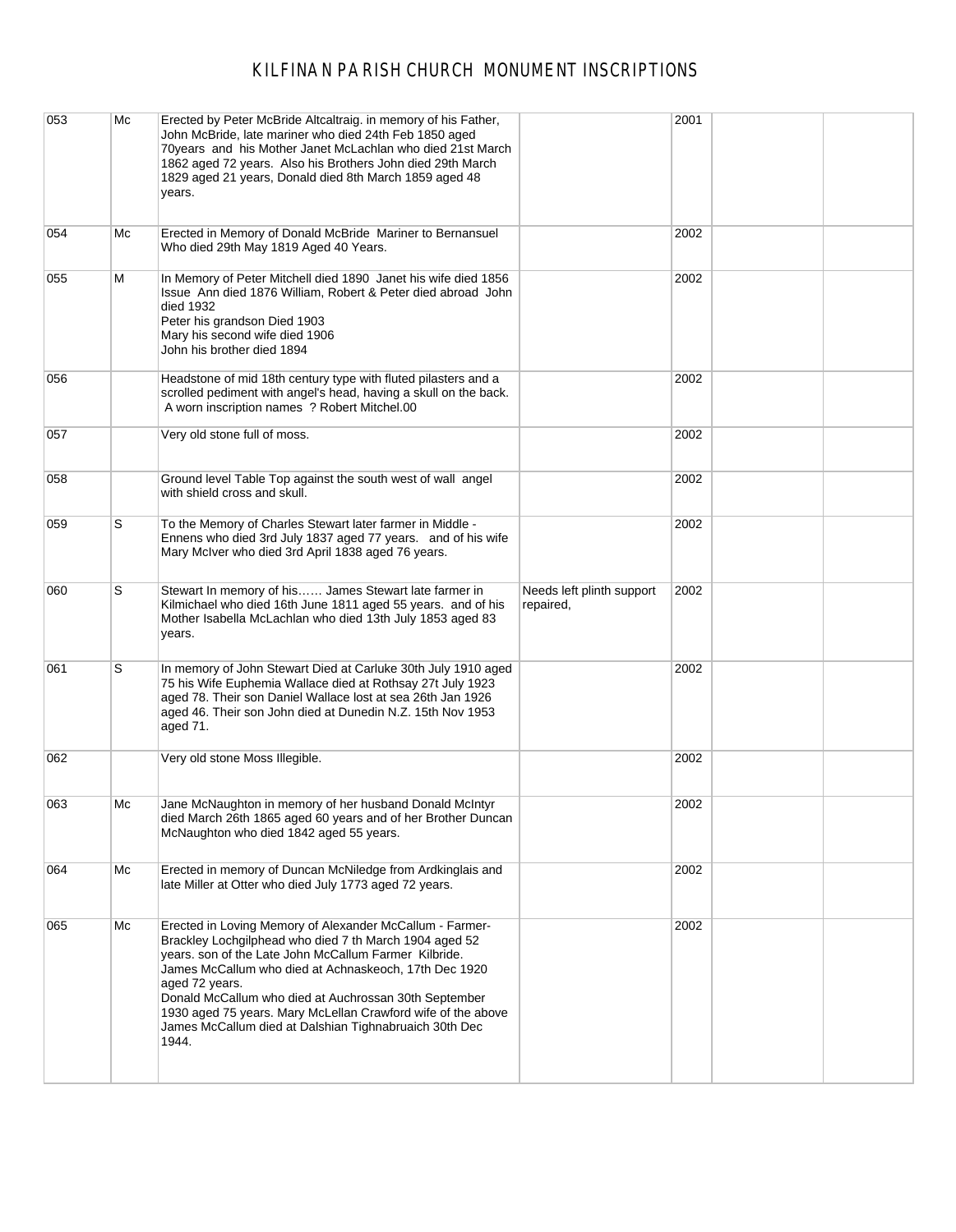| 053 | Mc | Erected by Peter McBride Altcaltraig. in memory of his Father,<br>John McBride, late mariner who died 24th Feb 1850 aged<br>70 years and his Mother Janet McLachlan who died 21st March<br>1862 aged 72 years. Also his Brothers John died 29th March<br>1829 aged 21 years, Donald died 8th March 1859 aged 48<br>years.                                                                                                                          |                                        | 2001 |  |
|-----|----|----------------------------------------------------------------------------------------------------------------------------------------------------------------------------------------------------------------------------------------------------------------------------------------------------------------------------------------------------------------------------------------------------------------------------------------------------|----------------------------------------|------|--|
| 054 | Mc | Erected in Memory of Donald McBride Mariner to Bernansuel<br>Who died 29th May 1819 Aged 40 Years.                                                                                                                                                                                                                                                                                                                                                 |                                        | 2002 |  |
| 055 | м  | In Memory of Peter Mitchell died 1890 Janet his wife died 1856<br>Issue Ann died 1876 William, Robert & Peter died abroad John<br>died 1932<br>Peter his grandson Died 1903<br>Mary his second wife died 1906<br>John his brother died 1894                                                                                                                                                                                                        |                                        | 2002 |  |
| 056 |    | Headstone of mid 18th century type with fluted pilasters and a<br>scrolled pediment with angel's head, having a skull on the back.<br>A worn inscription names ? Robert Mitchel.00                                                                                                                                                                                                                                                                 |                                        | 2002 |  |
| 057 |    | Very old stone full of moss.                                                                                                                                                                                                                                                                                                                                                                                                                       |                                        | 2002 |  |
| 058 |    | Ground level Table Top against the south west of wall angel<br>with shield cross and skull.                                                                                                                                                                                                                                                                                                                                                        |                                        | 2002 |  |
| 059 | S  | To the Memory of Charles Stewart later farmer in Middle -<br>Ennens who died 3rd July 1837 aged 77 years. and of his wife<br>Mary McIver who died 3rd April 1838 aged 76 years.                                                                                                                                                                                                                                                                    |                                        | 2002 |  |
| 060 | S  | Stewart In memory of his James Stewart late farmer in<br>Kilmichael who died 16th June 1811 aged 55 years. and of his<br>Mother Isabella McLachlan who died 13th July 1853 aged 83<br>years.                                                                                                                                                                                                                                                       | Needs left plinth support<br>repaired, | 2002 |  |
| 061 | S  | In memory of John Stewart Died at Carluke 30th July 1910 aged<br>75 his Wife Euphemia Wallace died at Rothsay 27t July 1923<br>aged 78. Their son Daniel Wallace lost at sea 26th Jan 1926<br>aged 46. Their son John died at Dunedin N.Z. 15th Nov 1953<br>aged 71.                                                                                                                                                                               |                                        | 2002 |  |
| 062 |    | Very old stone Moss Illegible.                                                                                                                                                                                                                                                                                                                                                                                                                     |                                        | 2002 |  |
| 063 | Mc | Jane McNaughton in memory of her husband Donald McIntyr<br>died March 26th 1865 aged 60 years and of her Brother Duncan<br>McNaughton who died 1842 aged 55 years.                                                                                                                                                                                                                                                                                 |                                        | 2002 |  |
| 064 | Mc | Erected in memory of Duncan McNiledge from Ardkinglais and<br>late Miller at Otter who died July 1773 aged 72 years.                                                                                                                                                                                                                                                                                                                               |                                        | 2002 |  |
| 065 | Mc | Erected in Loving Memory of Alexander McCallum - Farmer-<br>Brackley Lochgilphead who died 7 th March 1904 aged 52<br>years. son of the Late John McCallum Farmer Kilbride.<br>James McCallum who died at Achnaskeoch, 17th Dec 1920<br>aged 72 years.<br>Donald McCallum who died at Auchrossan 30th September<br>1930 aged 75 years. Mary McLellan Crawford wife of the above<br>James McCallum died at Dalshian Tighnabruaich 30th Dec<br>1944. |                                        | 2002 |  |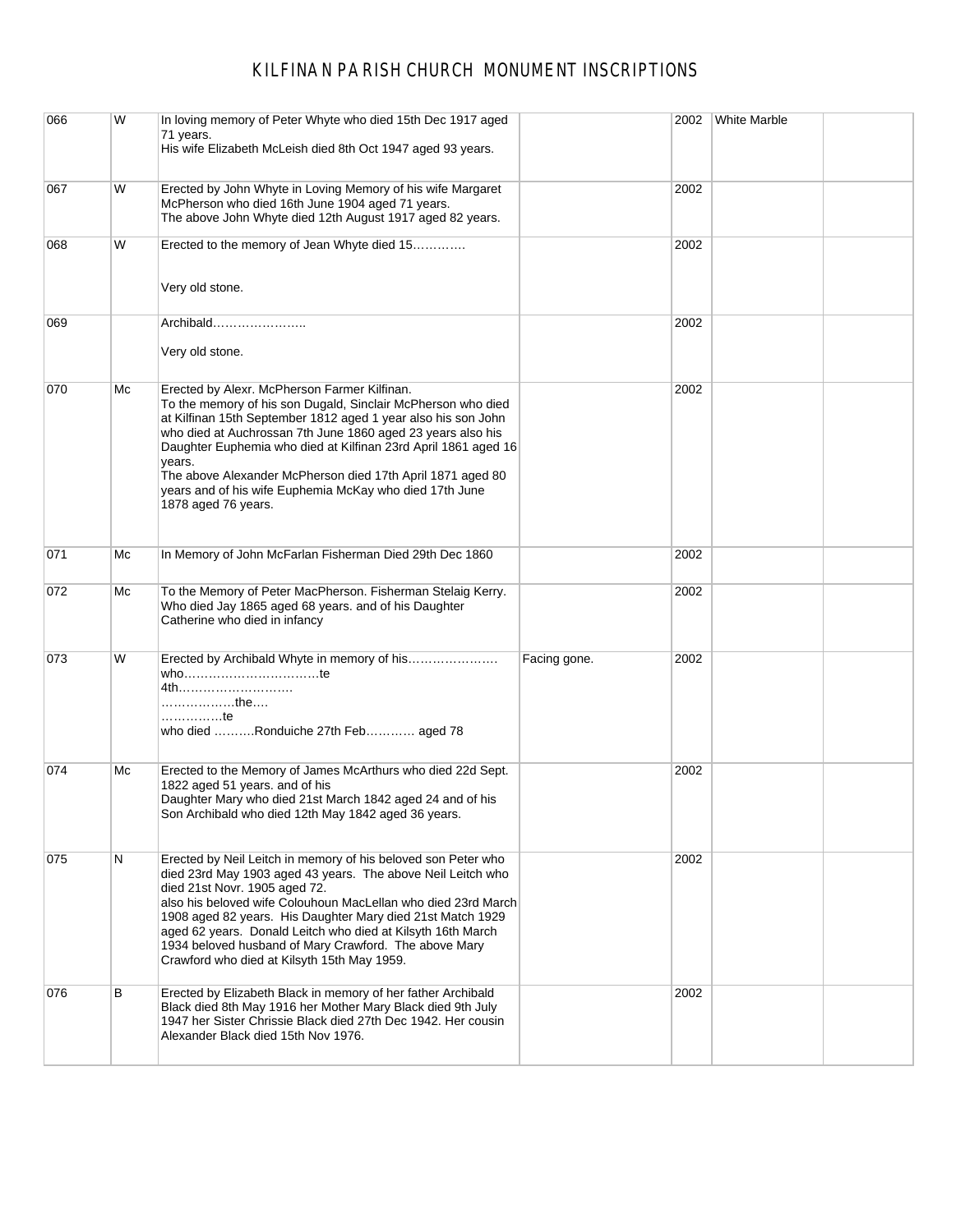| 066 | W  | In loving memory of Peter Whyte who died 15th Dec 1917 aged<br>71 years.<br>His wife Elizabeth McLeish died 8th Oct 1947 aged 93 years.                                                                                                                                                                                                                                                                                                                                  |              | 2002 | <b>White Marble</b> |
|-----|----|--------------------------------------------------------------------------------------------------------------------------------------------------------------------------------------------------------------------------------------------------------------------------------------------------------------------------------------------------------------------------------------------------------------------------------------------------------------------------|--------------|------|---------------------|
| 067 | W  | Erected by John Whyte in Loving Memory of his wife Margaret<br>McPherson who died 16th June 1904 aged 71 years.<br>The above John Whyte died 12th August 1917 aged 82 years.                                                                                                                                                                                                                                                                                             |              | 2002 |                     |
| 068 | W  | Erected to the memory of Jean Whyte died 15<br>Very old stone.                                                                                                                                                                                                                                                                                                                                                                                                           |              | 2002 |                     |
| 069 |    | Archibald<br>Very old stone.                                                                                                                                                                                                                                                                                                                                                                                                                                             |              | 2002 |                     |
| 070 | Мc | Erected by Alexr. McPherson Farmer Kilfinan.<br>To the memory of his son Dugald, Sinclair McPherson who died<br>at Kilfinan 15th September 1812 aged 1 year also his son John<br>who died at Auchrossan 7th June 1860 aged 23 years also his<br>Daughter Euphemia who died at Kilfinan 23rd April 1861 aged 16<br>years.<br>The above Alexander McPherson died 17th April 1871 aged 80<br>years and of his wife Euphemia McKay who died 17th June<br>1878 aged 76 years. |              | 2002 |                     |
| 071 | Мc | In Memory of John McFarlan Fisherman Died 29th Dec 1860                                                                                                                                                                                                                                                                                                                                                                                                                  |              | 2002 |                     |
| 072 | Мc | To the Memory of Peter MacPherson. Fisherman Stelaig Kerry.<br>Who died Jay 1865 aged 68 years. and of his Daughter<br>Catherine who died in infancy                                                                                                                                                                                                                                                                                                                     |              | 2002 |                     |
| 073 | W  | Erected by Archibald Whyte in memory of his<br>4th<br>the<br>. te<br>who died Ronduiche 27th Feb aged 78                                                                                                                                                                                                                                                                                                                                                                 | Facing gone. | 2002 |                     |
| 074 | Мc | Erected to the Memory of James McArthurs who died 22d Sept.<br>1822 aged 51 years. and of his<br>Daughter Mary who died 21st March 1842 aged 24 and of his<br>Son Archibald who died 12th May 1842 aged 36 years.                                                                                                                                                                                                                                                        |              | 2002 |                     |
| 075 | N  | Erected by Neil Leitch in memory of his beloved son Peter who<br>died 23rd May 1903 aged 43 years. The above Neil Leitch who<br>died 21st Novr. 1905 aged 72.<br>also his beloved wife Colouhoun MacLellan who died 23rd March<br>1908 aged 82 years. His Daughter Mary died 21st Match 1929<br>aged 62 years. Donald Leitch who died at Kilsyth 16th March<br>1934 beloved husband of Mary Crawford. The above Mary<br>Crawford who died at Kilsyth 15th May 1959.      |              | 2002 |                     |
| 076 | В  | Erected by Elizabeth Black in memory of her father Archibald<br>Black died 8th May 1916 her Mother Mary Black died 9th July<br>1947 her Sister Chrissie Black died 27th Dec 1942. Her cousin<br>Alexander Black died 15th Nov 1976.                                                                                                                                                                                                                                      |              | 2002 |                     |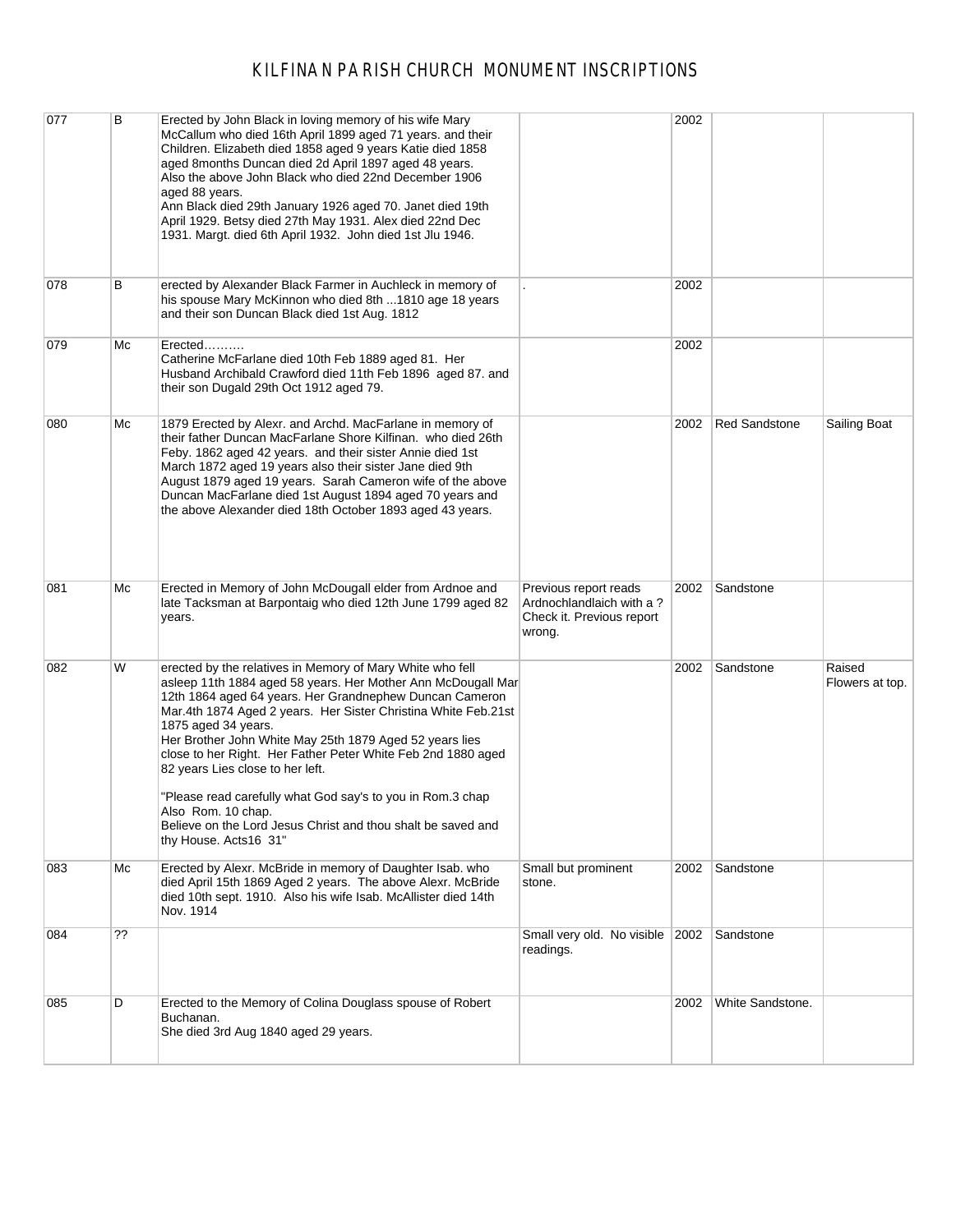| 077 | в  | Erected by John Black in loving memory of his wife Mary<br>McCallum who died 16th April 1899 aged 71 years. and their<br>Children. Elizabeth died 1858 aged 9 years Katie died 1858<br>aged 8months Duncan died 2d April 1897 aged 48 years.<br>Also the above John Black who died 22nd December 1906<br>aged 88 years.<br>Ann Black died 29th January 1926 aged 70. Janet died 19th<br>April 1929. Betsy died 27th May 1931. Alex died 22nd Dec<br>1931. Margt. died 6th April 1932. John died 1st Jlu 1946.                                                                                                             |                                                                                          | 2002 |                      |                           |
|-----|----|---------------------------------------------------------------------------------------------------------------------------------------------------------------------------------------------------------------------------------------------------------------------------------------------------------------------------------------------------------------------------------------------------------------------------------------------------------------------------------------------------------------------------------------------------------------------------------------------------------------------------|------------------------------------------------------------------------------------------|------|----------------------|---------------------------|
| 078 | В  | erected by Alexander Black Farmer in Auchleck in memory of<br>his spouse Mary McKinnon who died 8th  1810 age 18 years<br>and their son Duncan Black died 1st Aug. 1812                                                                                                                                                                                                                                                                                                                                                                                                                                                   |                                                                                          | 2002 |                      |                           |
| 079 | Мc | Erected<br>Catherine McFarlane died 10th Feb 1889 aged 81. Her<br>Husband Archibald Crawford died 11th Feb 1896 aged 87. and<br>their son Dugald 29th Oct 1912 aged 79.                                                                                                                                                                                                                                                                                                                                                                                                                                                   |                                                                                          | 2002 |                      |                           |
| 080 | Мc | 1879 Erected by Alexr. and Archd. MacFarlane in memory of<br>their father Duncan MacFarlane Shore Kilfinan. who died 26th<br>Feby. 1862 aged 42 years. and their sister Annie died 1st<br>March 1872 aged 19 years also their sister Jane died 9th<br>August 1879 aged 19 years. Sarah Cameron wife of the above<br>Duncan MacFarlane died 1st August 1894 aged 70 years and<br>the above Alexander died 18th October 1893 aged 43 years.                                                                                                                                                                                 |                                                                                          | 2002 | <b>Red Sandstone</b> | Sailing Boat              |
| 081 | Мc | Erected in Memory of John McDougall elder from Ardnoe and<br>late Tacksman at Barpontaig who died 12th June 1799 aged 82<br>years.                                                                                                                                                                                                                                                                                                                                                                                                                                                                                        | Previous report reads<br>Ardnochlandlaich with a?<br>Check it. Previous report<br>wrong. | 2002 | Sandstone            |                           |
| 082 | W  | erected by the relatives in Memory of Mary White who fell<br>asleep 11th 1884 aged 58 years. Her Mother Ann McDougall Mar<br>12th 1864 aged 64 years. Her Grandnephew Duncan Cameron<br>Mar.4th 1874 Aged 2 years. Her Sister Christina White Feb.21st<br>1875 aged 34 years.<br>Her Brother John White May 25th 1879 Aged 52 years lies<br>close to her Right. Her Father Peter White Feb 2nd 1880 aged<br>82 years Lies close to her left.<br>"Please read carefully what God say's to you in Rom.3 chap<br>Also Rom. 10 chap.<br>Believe on the Lord Jesus Christ and thou shalt be saved and<br>thy House. Acts16 31" |                                                                                          | 2002 | Sandstone            | Raised<br>Flowers at top. |
| 083 | Мc | Erected by Alexr. McBride in memory of Daughter Isab. who<br>died April 15th 1869 Aged 2 years. The above Alexr. McBride<br>died 10th sept. 1910. Also his wife Isab. McAllister died 14th<br>Nov. 1914                                                                                                                                                                                                                                                                                                                                                                                                                   | Small but prominent<br>stone.                                                            | 2002 | Sandstone            |                           |
| 084 | ?? |                                                                                                                                                                                                                                                                                                                                                                                                                                                                                                                                                                                                                           | Small very old. No visible<br>readings.                                                  | 2002 | Sandstone            |                           |
| 085 | D  | Erected to the Memory of Colina Douglass spouse of Robert<br>Buchanan.<br>She died 3rd Aug 1840 aged 29 years.                                                                                                                                                                                                                                                                                                                                                                                                                                                                                                            |                                                                                          | 2002 | White Sandstone.     |                           |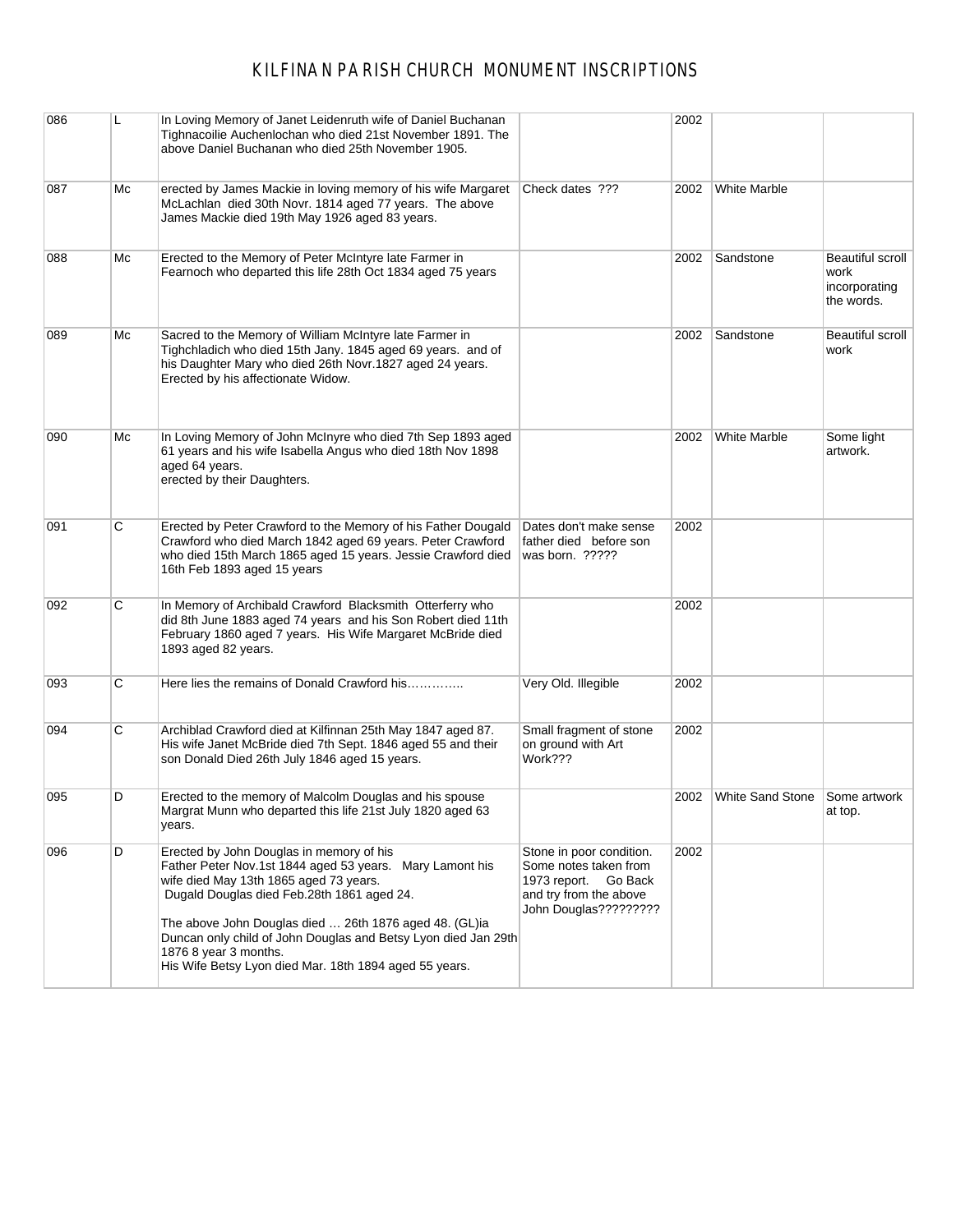| 086 | L  | In Loving Memory of Janet Leidenruth wife of Daniel Buchanan<br>Tighnacoilie Auchenlochan who died 21st November 1891. The<br>above Daniel Buchanan who died 25th November 1905.                                                                                                                                                                                                                            |                                                                                                                              | 2002 |                               |                                                         |
|-----|----|-------------------------------------------------------------------------------------------------------------------------------------------------------------------------------------------------------------------------------------------------------------------------------------------------------------------------------------------------------------------------------------------------------------|------------------------------------------------------------------------------------------------------------------------------|------|-------------------------------|---------------------------------------------------------|
| 087 | Мc | erected by James Mackie in loving memory of his wife Margaret<br>McLachlan died 30th Novr. 1814 aged 77 years. The above<br>James Mackie died 19th May 1926 aged 83 years.                                                                                                                                                                                                                                  | Check dates ???                                                                                                              | 2002 | <b>White Marble</b>           |                                                         |
| 088 | Мc | Erected to the Memory of Peter McIntyre late Farmer in<br>Fearnoch who departed this life 28th Oct 1834 aged 75 years                                                                                                                                                                                                                                                                                       |                                                                                                                              | 2002 | Sandstone                     | Beautiful scroll<br>work<br>incorporating<br>the words. |
| 089 | Мc | Sacred to the Memory of William McIntyre late Farmer in<br>Tighchladich who died 15th Jany. 1845 aged 69 years. and of<br>his Daughter Mary who died 26th Novr.1827 aged 24 years.<br>Erected by his affectionate Widow.                                                                                                                                                                                    |                                                                                                                              | 2002 | Sandstone                     | Beautiful scroll<br>work                                |
| 090 | Мc | In Loving Memory of John McInyre who died 7th Sep 1893 aged<br>61 years and his wife Isabella Angus who died 18th Nov 1898<br>aged 64 years.<br>erected by their Daughters.                                                                                                                                                                                                                                 |                                                                                                                              | 2002 | <b>White Marble</b>           | Some light<br>artwork.                                  |
| 091 | С  | Erected by Peter Crawford to the Memory of his Father Dougald<br>Crawford who died March 1842 aged 69 years. Peter Crawford<br>who died 15th March 1865 aged 15 years. Jessie Crawford died<br>16th Feb 1893 aged 15 years                                                                                                                                                                                  | Dates don't make sense<br>father died before son<br>was born. ?????                                                          | 2002 |                               |                                                         |
| 092 | С  | In Memory of Archibald Crawford Blacksmith Otterferry who<br>did 8th June 1883 aged 74 years and his Son Robert died 11th<br>February 1860 aged 7 years. His Wife Margaret McBride died<br>1893 aged 82 years.                                                                                                                                                                                              |                                                                                                                              | 2002 |                               |                                                         |
| 093 | С  | Here lies the remains of Donald Crawford his                                                                                                                                                                                                                                                                                                                                                                | Very Old. Illegible                                                                                                          | 2002 |                               |                                                         |
| 094 | С  | Archiblad Crawford died at Kilfinnan 25th May 1847 aged 87.<br>His wife Janet McBride died 7th Sept. 1846 aged 55 and their<br>son Donald Died 26th July 1846 aged 15 years.                                                                                                                                                                                                                                | Small fragment of stone<br>on ground with Art<br>Work???                                                                     | 2002 |                               |                                                         |
| 095 | D  | Erected to the memory of Malcolm Douglas and his spouse<br>Margrat Munn who departed this life 21st July 1820 aged 63<br>years.                                                                                                                                                                                                                                                                             |                                                                                                                              | 2002 | White Sand Stone Some artwork | at top.                                                 |
| 096 | D  | Erected by John Douglas in memory of his<br>Father Peter Nov.1st 1844 aged 53 years. Mary Lamont his<br>wife died May 13th 1865 aged 73 years.<br>Dugald Douglas died Feb.28th 1861 aged 24.<br>The above John Douglas died  26th 1876 aged 48. (GL)ia<br>Duncan only child of John Douglas and Betsy Lyon died Jan 29th<br>1876 8 year 3 months.<br>His Wife Betsy Lyon died Mar. 18th 1894 aged 55 years. | Stone in poor condition.<br>Some notes taken from<br>1973 report. Go Back<br>and try from the above<br>John Douglas????????? | 2002 |                               |                                                         |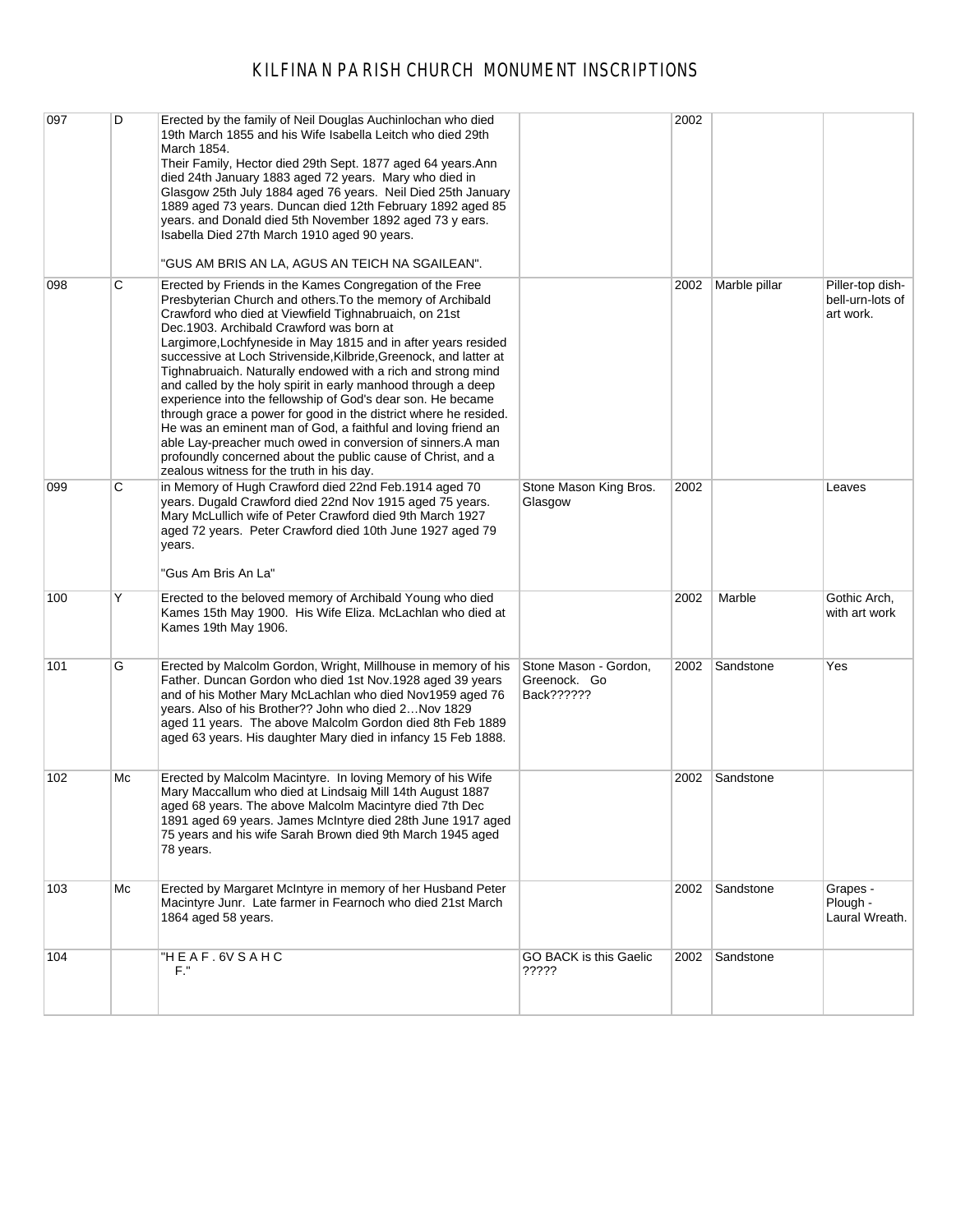| 097 | D  | Erected by the family of Neil Douglas Auchinlochan who died<br>19th March 1855 and his Wife Isabella Leitch who died 29th<br>March 1854.<br>Their Family, Hector died 29th Sept. 1877 aged 64 years. Ann<br>died 24th January 1883 aged 72 years. Mary who died in<br>Glasgow 25th July 1884 aged 76 years. Neil Died 25th January<br>1889 aged 73 years. Duncan died 12th February 1892 aged 85<br>years, and Donald died 5th November 1892 aged 73 y ears.<br>Isabella Died 27th March 1910 aged 90 years.<br>"GUS AM BRIS AN LA, AGUS AN TEICH NA SGAILEAN".                                                                                                                                                                                                                                                                                                                    |                                                     | 2002 |                |                                                   |
|-----|----|------------------------------------------------------------------------------------------------------------------------------------------------------------------------------------------------------------------------------------------------------------------------------------------------------------------------------------------------------------------------------------------------------------------------------------------------------------------------------------------------------------------------------------------------------------------------------------------------------------------------------------------------------------------------------------------------------------------------------------------------------------------------------------------------------------------------------------------------------------------------------------|-----------------------------------------------------|------|----------------|---------------------------------------------------|
| 098 | С  | Erected by Friends in the Kames Congregation of the Free<br>Presbyterian Church and others. To the memory of Archibald<br>Crawford who died at Viewfield Tighnabruaich, on 21st<br>Dec.1903. Archibald Crawford was born at<br>Largimore, Lochfyneside in May 1815 and in after years resided<br>successive at Loch Strivenside, Kilbride, Greenock, and latter at<br>Tighnabruaich. Naturally endowed with a rich and strong mind<br>and called by the holy spirit in early manhood through a deep<br>experience into the fellowship of God's dear son. He became<br>through grace a power for good in the district where he resided.<br>He was an eminent man of God, a faithful and loving friend an<br>able Lay-preacher much owed in conversion of sinners.A man<br>profoundly concerned about the public cause of Christ, and a<br>zealous witness for the truth in his day. |                                                     | 2002 | Marble pillar  | Piller-top dish-<br>bell-urn-lots of<br>art work. |
| 099 | С  | in Memory of Hugh Crawford died 22nd Feb.1914 aged 70<br>years. Dugald Crawford died 22nd Nov 1915 aged 75 years.<br>Mary McLullich wife of Peter Crawford died 9th March 1927<br>aged 72 years. Peter Crawford died 10th June 1927 aged 79<br>years.<br>"Gus Am Bris An La"                                                                                                                                                                                                                                                                                                                                                                                                                                                                                                                                                                                                       | Stone Mason King Bros.<br>Glasgow                   | 2002 |                | Leaves                                            |
| 100 | Υ  | Erected to the beloved memory of Archibald Young who died<br>Kames 15th May 1900. His Wife Eliza. McLachlan who died at<br>Kames 19th May 1906.                                                                                                                                                                                                                                                                                                                                                                                                                                                                                                                                                                                                                                                                                                                                    |                                                     | 2002 | Marble         | Gothic Arch,<br>with art work                     |
| 101 | G  | Erected by Malcolm Gordon, Wright, Millhouse in memory of his<br>Father. Duncan Gordon who died 1st Nov.1928 aged 39 years<br>and of his Mother Mary McLachlan who died Nov1959 aged 76<br>years. Also of his Brother?? John who died 2Nov 1829<br>aged 11 years. The above Malcolm Gordon died 8th Feb 1889<br>aged 63 years. His daughter Mary died in infancy 15 Feb 1888.                                                                                                                                                                                                                                                                                                                                                                                                                                                                                                      | Stone Mason - Gordon,<br>Greenock. Go<br>Back?????? | 2002 | Sandstone      | Yes                                               |
| 102 | Мc | Erected by Malcolm Macintyre. In loving Memory of his Wife<br>Mary Maccallum who died at Lindsaig Mill 14th August 1887<br>aged 68 years. The above Malcolm Macintyre died 7th Dec<br>1891 aged 69 years. James McIntyre died 28th June 1917 aged<br>75 years and his wife Sarah Brown died 9th March 1945 aged<br>78 years.                                                                                                                                                                                                                                                                                                                                                                                                                                                                                                                                                       |                                                     | 2002 | Sandstone      |                                                   |
| 103 | Мc | Erected by Margaret McIntyre in memory of her Husband Peter<br>Macintyre Junr. Late farmer in Fearnoch who died 21st March<br>1864 aged 58 years.                                                                                                                                                                                                                                                                                                                                                                                                                                                                                                                                                                                                                                                                                                                                  |                                                     | 2002 | Sandstone      | Grapes -<br>Plough -<br>Laural Wreath.            |
| 104 |    | "H E A F . 6V S A H C<br>F."                                                                                                                                                                                                                                                                                                                                                                                                                                                                                                                                                                                                                                                                                                                                                                                                                                                       | GO BACK is this Gaelic<br>?????                     |      | 2002 Sandstone |                                                   |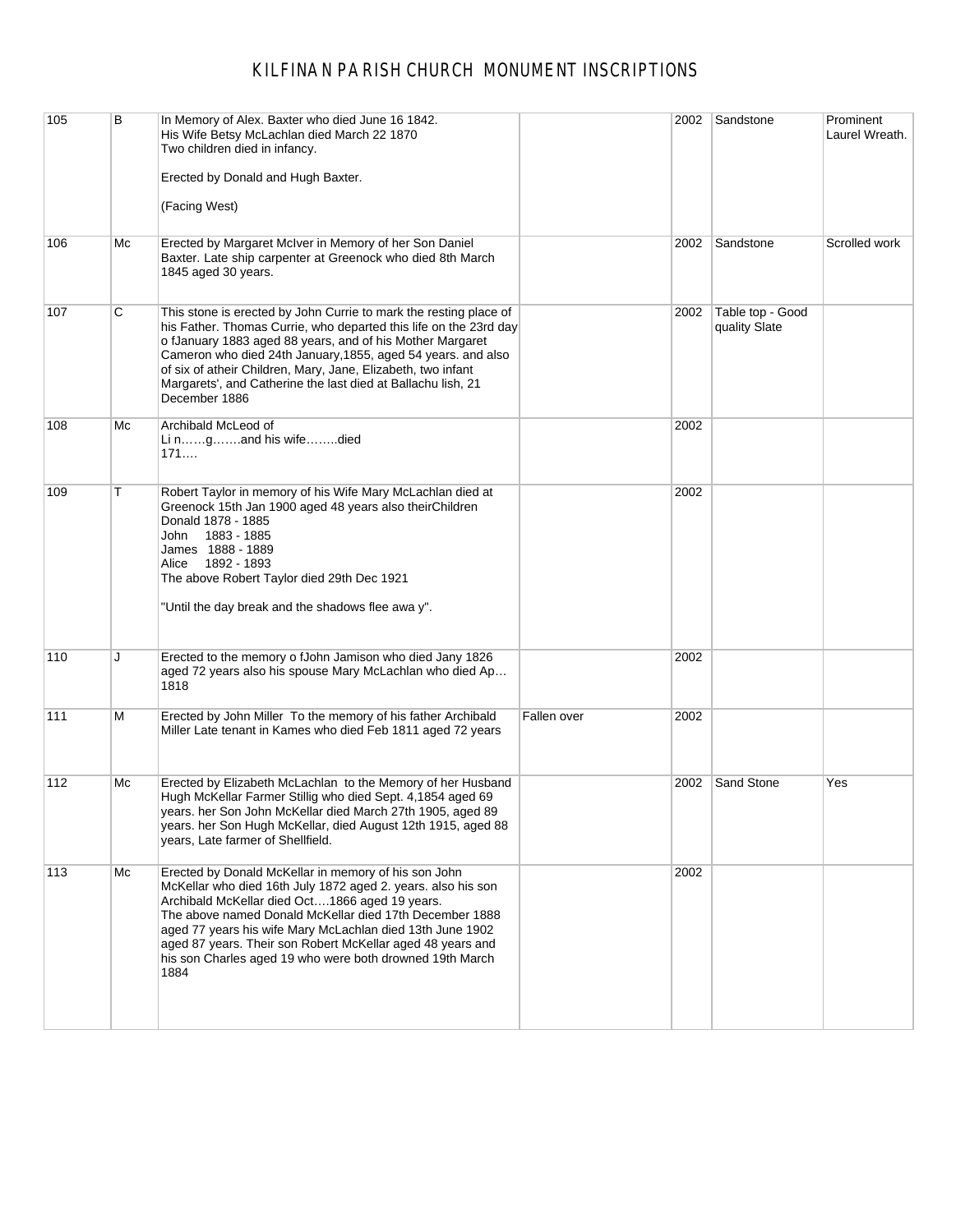| 105 | B  | In Memory of Alex. Baxter who died June 16 1842.<br>His Wife Betsy McLachlan died March 22 1870<br>Two children died in infancy.                                                                                                                                                                                                                                                                                                 |             | 2002 | Sandstone                         | Prominent<br>Laurel Wreath. |
|-----|----|----------------------------------------------------------------------------------------------------------------------------------------------------------------------------------------------------------------------------------------------------------------------------------------------------------------------------------------------------------------------------------------------------------------------------------|-------------|------|-----------------------------------|-----------------------------|
|     |    | Erected by Donald and Hugh Baxter.                                                                                                                                                                                                                                                                                                                                                                                               |             |      |                                   |                             |
|     |    | (Facing West)                                                                                                                                                                                                                                                                                                                                                                                                                    |             |      |                                   |                             |
| 106 | Mc | Erected by Margaret McIver in Memory of her Son Daniel<br>Baxter. Late ship carpenter at Greenock who died 8th March<br>1845 aged 30 years.                                                                                                                                                                                                                                                                                      |             | 2002 | Sandstone                         | Scrolled work               |
| 107 | С  | This stone is erected by John Currie to mark the resting place of<br>his Father. Thomas Currie, who departed this life on the 23rd day<br>o fJanuary 1883 aged 88 years, and of his Mother Margaret<br>Cameron who died 24th January, 1855, aged 54 years. and also<br>of six of atheir Children, Mary, Jane, Elizabeth, two infant<br>Margarets', and Catherine the last died at Ballachu lish, 21<br>December 1886             |             | 2002 | Table top - Good<br>quality Slate |                             |
| 108 | Мc | Archibald McLeod of<br>Li ngand his wifedied<br>171                                                                                                                                                                                                                                                                                                                                                                              |             | 2002 |                                   |                             |
| 109 | т  | Robert Taylor in memory of his Wife Mary McLachlan died at<br>Greenock 15th Jan 1900 aged 48 years also theirChildren<br>Donald 1878 - 1885<br>1883 - 1885<br>John<br>James 1888 - 1889<br>1892 - 1893<br>Alice<br>The above Robert Taylor died 29th Dec 1921<br>"Until the day break and the shadows flee awa y".                                                                                                               |             | 2002 |                                   |                             |
| 110 | J  | Erected to the memory o fJohn Jamison who died Jany 1826<br>aged 72 years also his spouse Mary McLachlan who died Ap<br>1818                                                                                                                                                                                                                                                                                                     |             | 2002 |                                   |                             |
| 111 | м  | Erected by John Miller To the memory of his father Archibald<br>Miller Late tenant in Kames who died Feb 1811 aged 72 years                                                                                                                                                                                                                                                                                                      | Fallen over | 2002 |                                   |                             |
| 112 | Mc | Erected by Elizabeth McLachlan to the Memory of her Husband<br>Hugh McKellar Farmer Stillig who died Sept. 4,1854 aged 69<br>years. her Son John McKellar died March 27th 1905, aged 89<br>years. her Son Hugh McKellar, died August 12th 1915, aged 88<br>years, Late farmer of Shellfield.                                                                                                                                     |             | 2002 | Sand Stone                        | Yes                         |
| 113 | Mc | Erected by Donald McKellar in memory of his son John<br>McKellar who died 16th July 1872 aged 2. years. also his son<br>Archibald McKellar died Oct1866 aged 19 years.<br>The above named Donald McKellar died 17th December 1888<br>aged 77 years his wife Mary McLachlan died 13th June 1902<br>aged 87 years. Their son Robert McKellar aged 48 years and<br>his son Charles aged 19 who were both drowned 19th March<br>1884 |             | 2002 |                                   |                             |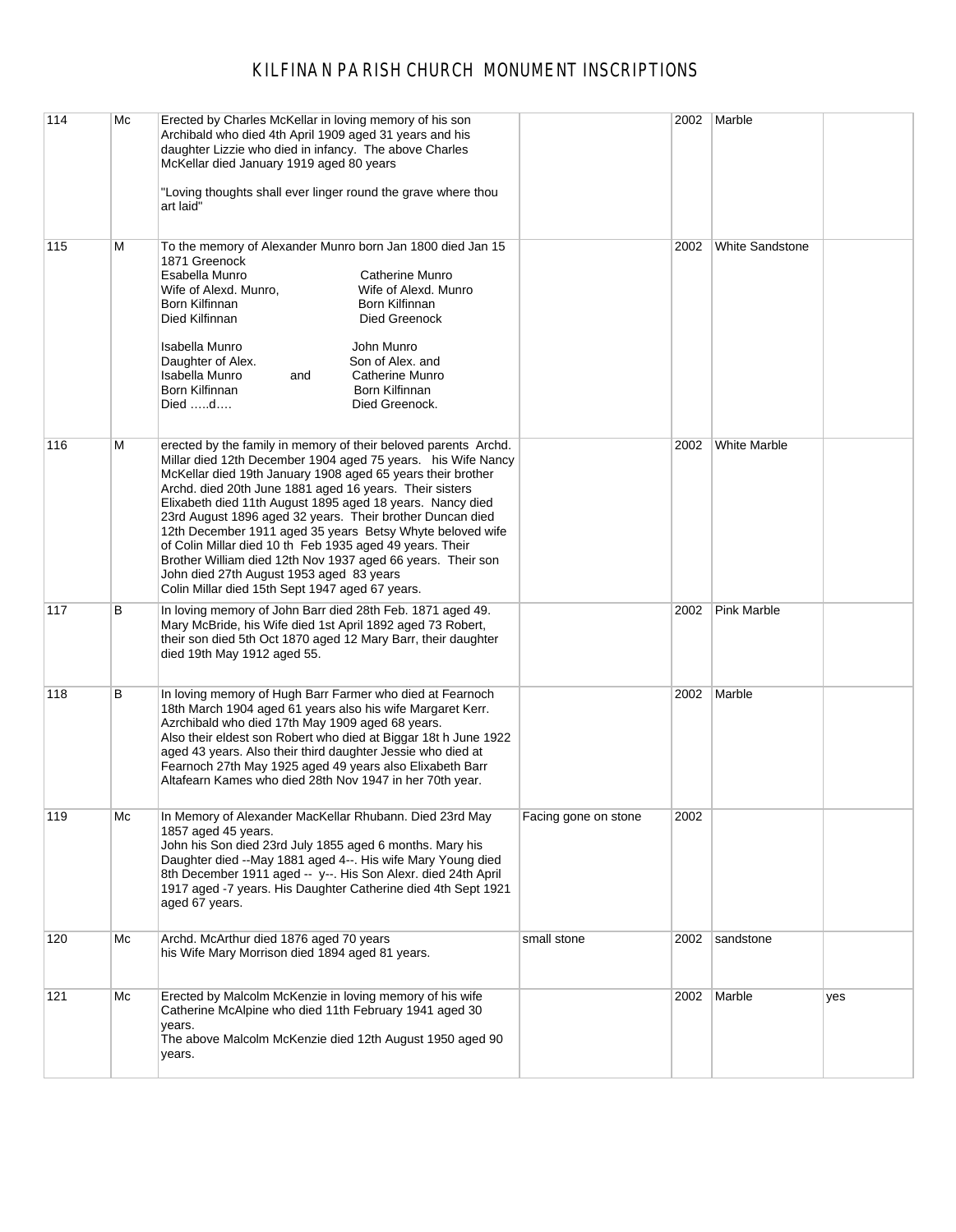| 114 | Mc | Erected by Charles McKellar in loving memory of his son<br>Archibald who died 4th April 1909 aged 31 years and his<br>daughter Lizzie who died in infancy. The above Charles<br>McKellar died January 1919 aged 80 years<br>"Loving thoughts shall ever linger round the grave where thou<br>art laid"                                                                                                                                                                                                                                                                                                                                                                     |                      | 2002 | Marble                 |     |
|-----|----|----------------------------------------------------------------------------------------------------------------------------------------------------------------------------------------------------------------------------------------------------------------------------------------------------------------------------------------------------------------------------------------------------------------------------------------------------------------------------------------------------------------------------------------------------------------------------------------------------------------------------------------------------------------------------|----------------------|------|------------------------|-----|
| 115 | Μ  | To the memory of Alexander Munro born Jan 1800 died Jan 15<br>1871 Greenock<br>Esabella Munro<br>Catherine Munro<br>Wife of Alexd. Munro,<br>Wife of Alexd. Munro<br>Born Kilfinnan<br>Born Kilfinnan<br>Died Kilfinnan<br>Died Greenock<br>Isabella Munro<br>John Munro<br>Daughter of Alex.<br>Son of Alex. and<br>Isabella Munro<br>Catherine Munro<br>and<br>Born Kilfinnan<br>Born Kilfinnan<br>Died d<br>Died Greenock.                                                                                                                                                                                                                                              |                      | 2002 | <b>White Sandstone</b> |     |
| 116 | Μ  | erected by the family in memory of their beloved parents Archd.<br>Millar died 12th December 1904 aged 75 years. his Wife Nancy<br>McKellar died 19th January 1908 aged 65 years their brother<br>Archd. died 20th June 1881 aged 16 years. Their sisters<br>Elixabeth died 11th August 1895 aged 18 years. Nancy died<br>23rd August 1896 aged 32 years. Their brother Duncan died<br>12th December 1911 aged 35 years Betsy Whyte beloved wife<br>of Colin Millar died 10 th Feb 1935 aged 49 years. Their<br>Brother William died 12th Nov 1937 aged 66 years. Their son<br>John died 27th August 1953 aged 83 years<br>Colin Millar died 15th Sept 1947 aged 67 years. |                      | 2002 | <b>White Marble</b>    |     |
| 117 | в  | In loving memory of John Barr died 28th Feb. 1871 aged 49.<br>Mary McBride, his Wife died 1st April 1892 aged 73 Robert,<br>their son died 5th Oct 1870 aged 12 Mary Barr, their daughter<br>died 19th May 1912 aged 55.                                                                                                                                                                                                                                                                                                                                                                                                                                                   |                      | 2002 | <b>Pink Marble</b>     |     |
| 118 | в  | In loving memory of Hugh Barr Farmer who died at Fearnoch<br>18th March 1904 aged 61 years also his wife Margaret Kerr.<br>Azrchibald who died 17th May 1909 aged 68 years.<br>Also their eldest son Robert who died at Biggar 18t h June 1922<br>aged 43 years. Also their third daughter Jessie who died at<br>Fearnoch 27th May 1925 aged 49 years also Elixabeth Barr<br>Altafearn Kames who died 28th Nov 1947 in her 70th year.                                                                                                                                                                                                                                      |                      | 2002 | Marble                 |     |
| 119 | Мc | In Memory of Alexander MacKellar Rhubann. Died 23rd May<br>1857 aged 45 years.<br>John his Son died 23rd July 1855 aged 6 months. Mary his<br>Daughter died --May 1881 aged 4--. His wife Mary Young died<br>8th December 1911 aged -- y--. His Son Alexr. died 24th April<br>1917 aged -7 years. His Daughter Catherine died 4th Sept 1921<br>aged 67 years.                                                                                                                                                                                                                                                                                                              | Facing gone on stone | 2002 |                        |     |
| 120 | Мc | Archd. McArthur died 1876 aged 70 years<br>his Wife Mary Morrison died 1894 aged 81 years.                                                                                                                                                                                                                                                                                                                                                                                                                                                                                                                                                                                 | small stone          | 2002 | sandstone              |     |
| 121 | Мc | Erected by Malcolm McKenzie in loving memory of his wife<br>Catherine McAlpine who died 11th February 1941 aged 30<br>years.<br>The above Malcolm McKenzie died 12th August 1950 aged 90<br>years.                                                                                                                                                                                                                                                                                                                                                                                                                                                                         |                      |      | 2002 Marble            | yes |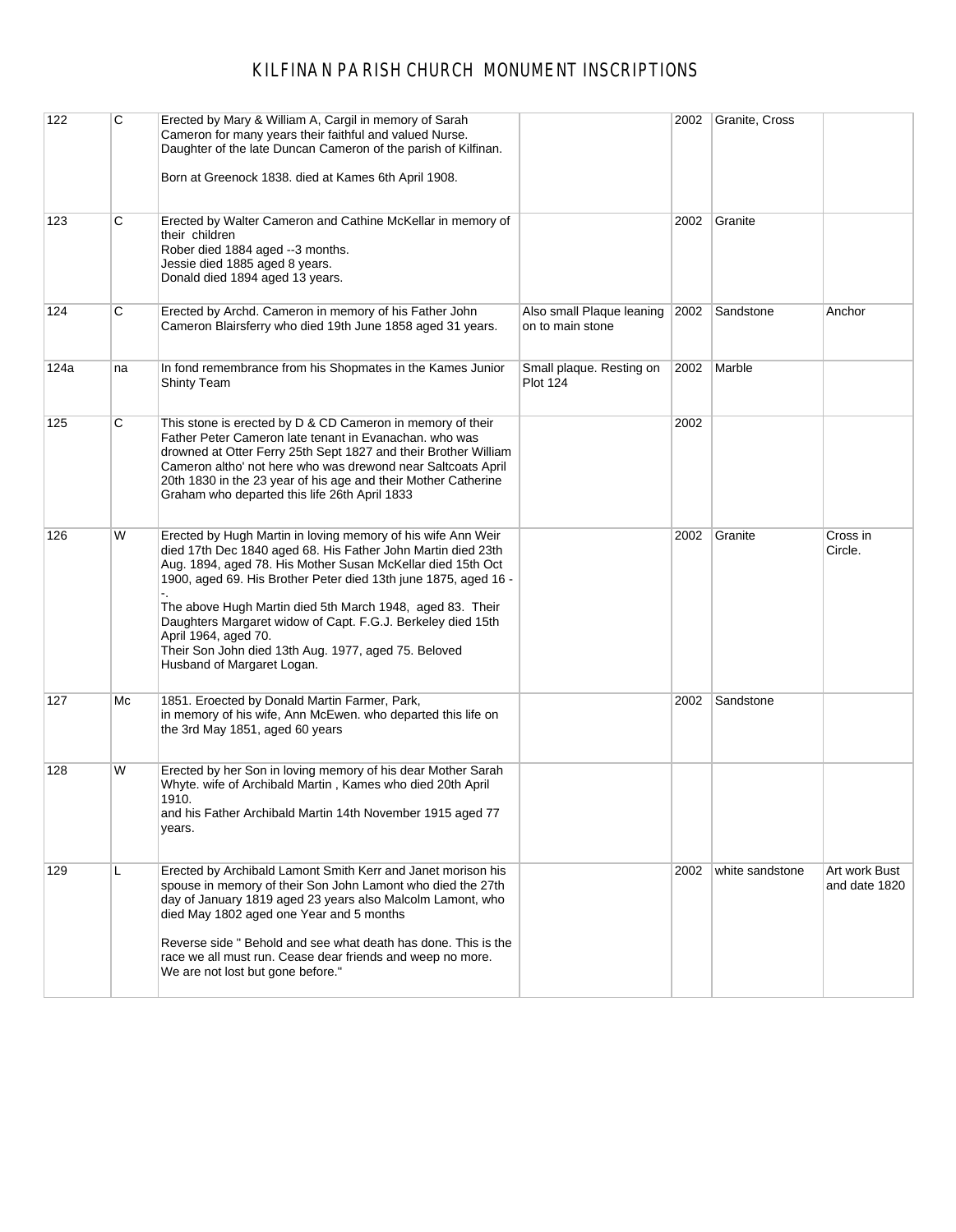| 122  | C  | Erected by Mary & William A, Cargil in memory of Sarah<br>Cameron for many years their faithful and valued Nurse.<br>Daughter of the late Duncan Cameron of the parish of Kilfinan.<br>Born at Greenock 1838. died at Kames 6th April 1908.                                                                                                                                                                                                                                                              |                                               | 2002 | Granite, Cross  |                                |
|------|----|----------------------------------------------------------------------------------------------------------------------------------------------------------------------------------------------------------------------------------------------------------------------------------------------------------------------------------------------------------------------------------------------------------------------------------------------------------------------------------------------------------|-----------------------------------------------|------|-----------------|--------------------------------|
| 123  | С  | Erected by Walter Cameron and Cathine McKellar in memory of<br>their children<br>Rober died 1884 aged --3 months.<br>Jessie died 1885 aged 8 years.<br>Donald died 1894 aged 13 years.                                                                                                                                                                                                                                                                                                                   |                                               | 2002 | Granite         |                                |
| 124  | С  | Erected by Archd. Cameron in memory of his Father John<br>Cameron Blairsferry who died 19th June 1858 aged 31 years.                                                                                                                                                                                                                                                                                                                                                                                     | Also small Plaque leaning<br>on to main stone | 2002 | Sandstone       | Anchor                         |
| 124a | na | In fond remembrance from his Shopmates in the Kames Junior<br>Shinty Team                                                                                                                                                                                                                                                                                                                                                                                                                                | Small plaque. Resting on<br><b>Plot 124</b>   | 2002 | Marble          |                                |
| 125  | С  | This stone is erected by D & CD Cameron in memory of their<br>Father Peter Cameron late tenant in Evanachan. who was<br>drowned at Otter Ferry 25th Sept 1827 and their Brother William<br>Cameron altho' not here who was drewond near Saltcoats April<br>20th 1830 in the 23 year of his age and their Mother Catherine<br>Graham who departed this life 26th April 1833                                                                                                                               |                                               | 2002 |                 |                                |
| 126  | W  | Erected by Hugh Martin in loving memory of his wife Ann Weir<br>died 17th Dec 1840 aged 68. His Father John Martin died 23th<br>Aug. 1894, aged 78. His Mother Susan McKellar died 15th Oct<br>1900, aged 69. His Brother Peter died 13th june 1875, aged 16 -<br>The above Hugh Martin died 5th March 1948, aged 83. Their<br>Daughters Margaret widow of Capt. F.G.J. Berkeley died 15th<br>April 1964, aged 70.<br>Their Son John died 13th Aug. 1977, aged 75. Beloved<br>Husband of Margaret Logan. |                                               | 2002 | Granite         | Cross in<br>Circle.            |
| 127  | Mc | 1851. Eroected by Donald Martin Farmer, Park,<br>in memory of his wife, Ann McEwen. who departed this life on<br>the 3rd May 1851, aged 60 years                                                                                                                                                                                                                                                                                                                                                         |                                               | 2002 | Sandstone       |                                |
| 128  | W  | Erected by her Son in loving memory of his dear Mother Sarah<br>Whyte. wife of Archibald Martin, Kames who died 20th April<br>1910.<br>and his Father Archibald Martin 14th November 1915 aged 77<br>years.                                                                                                                                                                                                                                                                                              |                                               |      |                 |                                |
| 129  | L  | Erected by Archibald Lamont Smith Kerr and Janet morison his<br>spouse in memory of their Son John Lamont who died the 27th<br>day of January 1819 aged 23 years also Malcolm Lamont, who<br>died May 1802 aged one Year and 5 months<br>Reverse side " Behold and see what death has done. This is the<br>race we all must run. Cease dear friends and weep no more.<br>We are not lost but gone before."                                                                                               |                                               | 2002 | white sandstone | Art work Bust<br>and date 1820 |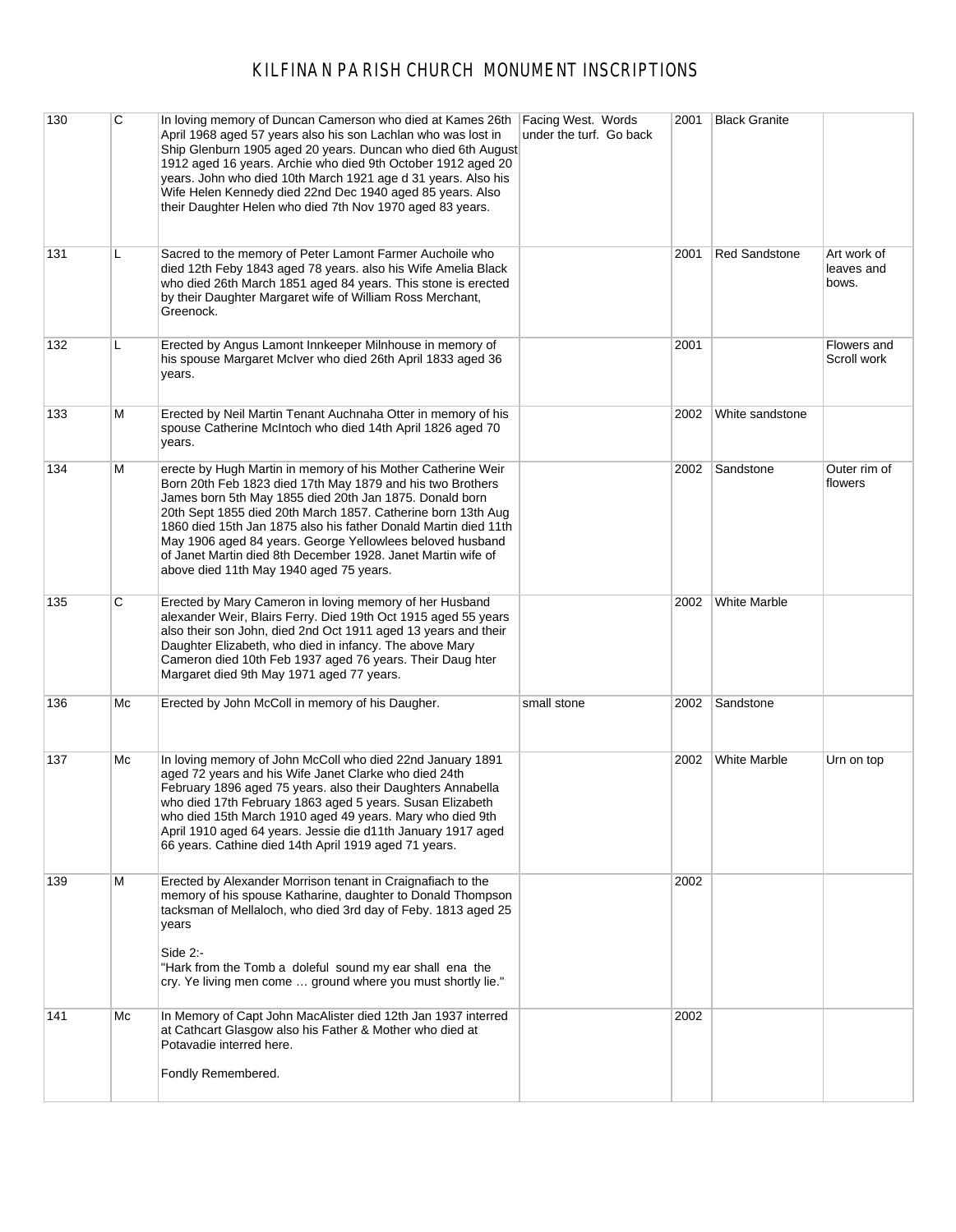| 130 | C  | In loving memory of Duncan Camerson who died at Kames 26th<br>April 1968 aged 57 years also his son Lachlan who was lost in<br>Ship Glenburn 1905 aged 20 years. Duncan who died 6th August<br>1912 aged 16 years. Archie who died 9th October 1912 aged 20<br>years. John who died 10th March 1921 age d 31 years. Also his<br>Wife Helen Kennedy died 22nd Dec 1940 aged 85 years. Also<br>their Daughter Helen who died 7th Nov 1970 aged 83 years.                                           | Facing West. Words<br>under the turf. Go back | 2001 | <b>Black Granite</b> |                                    |
|-----|----|--------------------------------------------------------------------------------------------------------------------------------------------------------------------------------------------------------------------------------------------------------------------------------------------------------------------------------------------------------------------------------------------------------------------------------------------------------------------------------------------------|-----------------------------------------------|------|----------------------|------------------------------------|
| 131 | L  | Sacred to the memory of Peter Lamont Farmer Auchoile who<br>died 12th Feby 1843 aged 78 years. also his Wife Amelia Black<br>who died 26th March 1851 aged 84 years. This stone is erected<br>by their Daughter Margaret wife of William Ross Merchant,<br>Greenock.                                                                                                                                                                                                                             |                                               | 2001 | <b>Red Sandstone</b> | Art work of<br>leaves and<br>bows. |
| 132 | L  | Erected by Angus Lamont Innkeeper Milnhouse in memory of<br>his spouse Margaret McIver who died 26th April 1833 aged 36<br>years.                                                                                                                                                                                                                                                                                                                                                                |                                               | 2001 |                      | Flowers and<br>Scroll work         |
| 133 | М  | Erected by Neil Martin Tenant Auchnaha Otter in memory of his<br>spouse Catherine McIntoch who died 14th April 1826 aged 70<br>years.                                                                                                                                                                                                                                                                                                                                                            |                                               | 2002 | White sandstone      |                                    |
| 134 | М  | erecte by Hugh Martin in memory of his Mother Catherine Weir<br>Born 20th Feb 1823 died 17th May 1879 and his two Brothers<br>James born 5th May 1855 died 20th Jan 1875. Donald born<br>20th Sept 1855 died 20th March 1857. Catherine born 13th Aug<br>1860 died 15th Jan 1875 also his father Donald Martin died 11th<br>May 1906 aged 84 years. George Yellowlees beloved husband<br>of Janet Martin died 8th December 1928. Janet Martin wife of<br>above died 11th May 1940 aged 75 years. |                                               | 2002 | Sandstone            | Outer rim of<br>flowers            |
| 135 | С  | Erected by Mary Cameron in loving memory of her Husband<br>alexander Weir, Blairs Ferry. Died 19th Oct 1915 aged 55 years<br>also their son John, died 2nd Oct 1911 aged 13 years and their<br>Daughter Elizabeth, who died in infancy. The above Mary<br>Cameron died 10th Feb 1937 aged 76 years. Their Daug hter<br>Margaret died 9th May 1971 aged 77 years.                                                                                                                                 |                                               | 2002 | White Marble         |                                    |
| 136 | Мc | Erected by John McColl in memory of his Daugher.                                                                                                                                                                                                                                                                                                                                                                                                                                                 | small stone                                   | 2002 | Sandstone            |                                    |
| 137 | Мc | In loving memory of John McColl who died 22nd January 1891<br>aged 72 years and his Wife Janet Clarke who died 24th<br>February 1896 aged 75 years. also their Daughters Annabella<br>who died 17th February 1863 aged 5 years. Susan Elizabeth<br>who died 15th March 1910 aged 49 years. Mary who died 9th<br>April 1910 aged 64 years. Jessie die d11th January 1917 aged<br>66 years. Cathine died 14th April 1919 aged 71 years.                                                            |                                               | 2002 | <b>White Marble</b>  | Urn on top                         |
| 139 | М  | Erected by Alexander Morrison tenant in Craignafiach to the<br>memory of his spouse Katharine, daughter to Donald Thompson<br>tacksman of Mellaloch, who died 3rd day of Feby. 1813 aged 25<br>years<br>Side $2$ :-<br>"Hark from the Tomb a doleful sound my ear shall ena the<br>cry. Ye living men come  ground where you must shortly lie."                                                                                                                                                  |                                               | 2002 |                      |                                    |
| 141 | Мc | In Memory of Capt John MacAlister died 12th Jan 1937 interred<br>at Cathcart Glasgow also his Father & Mother who died at<br>Potavadie interred here.<br>Fondly Remembered.                                                                                                                                                                                                                                                                                                                      |                                               | 2002 |                      |                                    |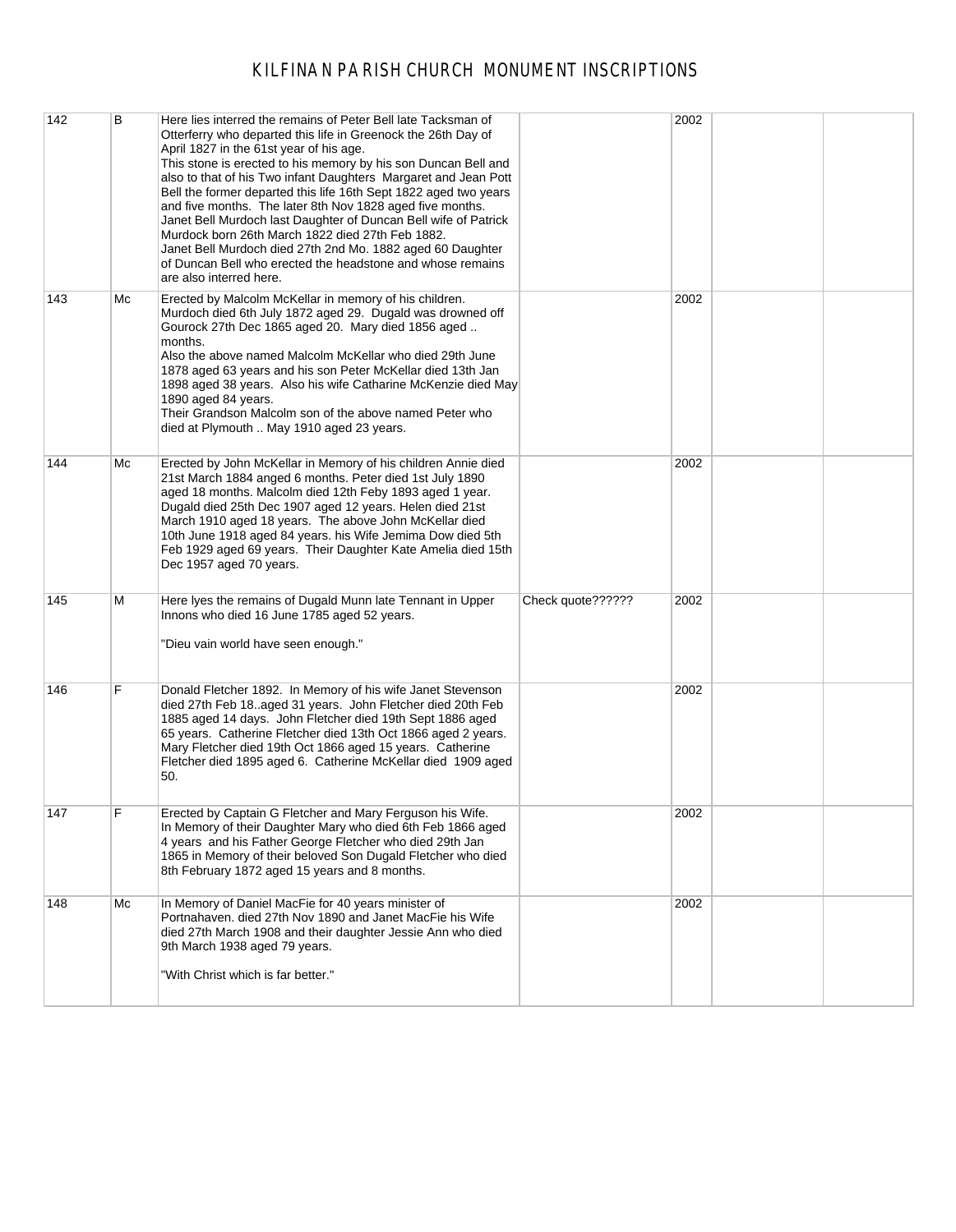| 142 | B  | Here lies interred the remains of Peter Bell late Tacksman of<br>Otterferry who departed this life in Greenock the 26th Day of<br>April 1827 in the 61st year of his age.<br>This stone is erected to his memory by his son Duncan Bell and<br>also to that of his Two infant Daughters Margaret and Jean Pott<br>Bell the former departed this life 16th Sept 1822 aged two years<br>and five months. The later 8th Nov 1828 aged five months.<br>Janet Bell Murdoch last Daughter of Duncan Bell wife of Patrick<br>Murdock born 26th March 1822 died 27th Feb 1882.<br>Janet Bell Murdoch died 27th 2nd Mo. 1882 aged 60 Daughter<br>of Duncan Bell who erected the headstone and whose remains<br>are also interred here. |                   | 2002 |  |
|-----|----|-------------------------------------------------------------------------------------------------------------------------------------------------------------------------------------------------------------------------------------------------------------------------------------------------------------------------------------------------------------------------------------------------------------------------------------------------------------------------------------------------------------------------------------------------------------------------------------------------------------------------------------------------------------------------------------------------------------------------------|-------------------|------|--|
| 143 | Мc | Erected by Malcolm McKellar in memory of his children.<br>Murdoch died 6th July 1872 aged 29. Dugald was drowned off<br>Gourock 27th Dec 1865 aged 20. Mary died 1856 aged<br>months.<br>Also the above named Malcolm McKellar who died 29th June<br>1878 aged 63 years and his son Peter McKellar died 13th Jan<br>1898 aged 38 years. Also his wife Catharine McKenzie died May<br>1890 aged 84 years.<br>Their Grandson Malcolm son of the above named Peter who<br>died at Plymouth  May 1910 aged 23 years.                                                                                                                                                                                                              |                   | 2002 |  |
| 144 | Мc | Erected by John McKellar in Memory of his children Annie died<br>21st March 1884 anged 6 months. Peter died 1st July 1890<br>aged 18 months. Malcolm died 12th Feby 1893 aged 1 year.<br>Dugald died 25th Dec 1907 aged 12 years. Helen died 21st<br>March 1910 aged 18 years. The above John McKellar died<br>10th June 1918 aged 84 years. his Wife Jemima Dow died 5th<br>Feb 1929 aged 69 years. Their Daughter Kate Amelia died 15th<br>Dec 1957 aged 70 years.                                                                                                                                                                                                                                                          |                   | 2002 |  |
| 145 | M  | Here Iyes the remains of Dugald Munn late Tennant in Upper<br>Innons who died 16 June 1785 aged 52 years.<br>"Dieu vain world have seen enough."                                                                                                                                                                                                                                                                                                                                                                                                                                                                                                                                                                              | Check quote?????? | 2002 |  |
| 146 | F  | Donald Fletcher 1892. In Memory of his wife Janet Stevenson<br>died 27th Feb 18. aged 31 years. John Fletcher died 20th Feb<br>1885 aged 14 days. John Fletcher died 19th Sept 1886 aged<br>65 years. Catherine Fletcher died 13th Oct 1866 aged 2 years.<br>Mary Fletcher died 19th Oct 1866 aged 15 years. Catherine<br>Fletcher died 1895 aged 6. Catherine McKellar died 1909 aged<br>50.                                                                                                                                                                                                                                                                                                                                 |                   | 2002 |  |
| 147 | F  | Erected by Captain G Fletcher and Mary Ferguson his Wife.<br>In Memory of their Daughter Mary who died 6th Feb 1866 aged<br>4 years and his Father George Fletcher who died 29th Jan<br>1865 in Memory of their beloved Son Dugald Fletcher who died<br>8th February 1872 aged 15 years and 8 months.                                                                                                                                                                                                                                                                                                                                                                                                                         |                   | 2002 |  |
| 148 | Мc | In Memory of Daniel MacFie for 40 years minister of<br>Portnahaven. died 27th Nov 1890 and Janet MacFie his Wife<br>died 27th March 1908 and their daughter Jessie Ann who died<br>9th March 1938 aged 79 years.<br>"With Christ which is far better."                                                                                                                                                                                                                                                                                                                                                                                                                                                                        |                   | 2002 |  |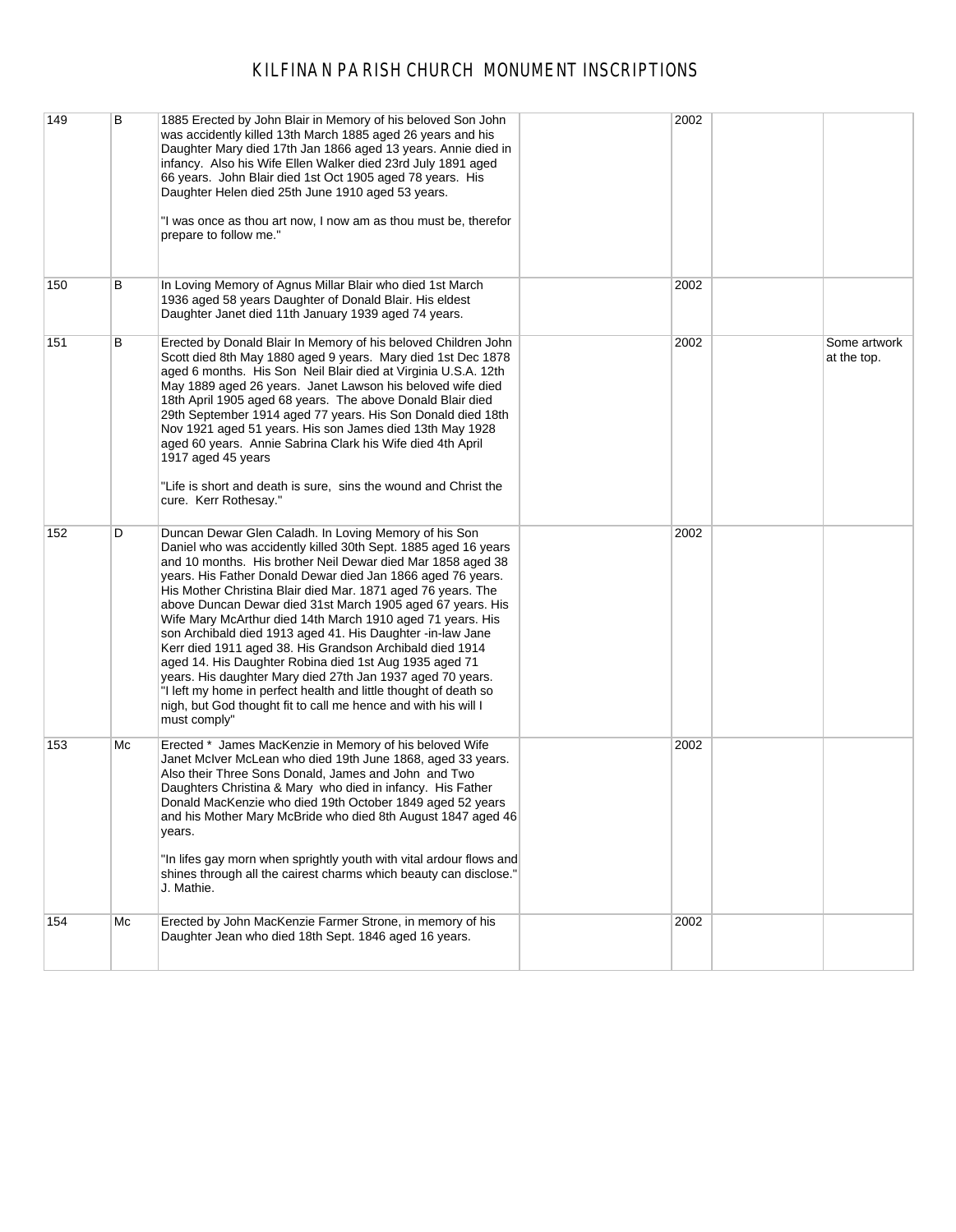| 149 | B  | 1885 Erected by John Blair in Memory of his beloved Son John<br>was accidently killed 13th March 1885 aged 26 years and his<br>Daughter Mary died 17th Jan 1866 aged 13 years. Annie died in<br>infancy. Also his Wife Ellen Walker died 23rd July 1891 aged<br>66 years. John Blair died 1st Oct 1905 aged 78 years. His<br>Daughter Helen died 25th June 1910 aged 53 years.<br>"I was once as thou art now, I now am as thou must be, therefor<br>prepare to follow me."                                                                                                                                                                                                                                                                                                                                                                               | 2002 |                             |
|-----|----|-----------------------------------------------------------------------------------------------------------------------------------------------------------------------------------------------------------------------------------------------------------------------------------------------------------------------------------------------------------------------------------------------------------------------------------------------------------------------------------------------------------------------------------------------------------------------------------------------------------------------------------------------------------------------------------------------------------------------------------------------------------------------------------------------------------------------------------------------------------|------|-----------------------------|
| 150 | В  | In Loving Memory of Agnus Millar Blair who died 1st March<br>1936 aged 58 years Daughter of Donald Blair. His eldest<br>Daughter Janet died 11th January 1939 aged 74 years.                                                                                                                                                                                                                                                                                                                                                                                                                                                                                                                                                                                                                                                                              | 2002 |                             |
| 151 | В  | Erected by Donald Blair In Memory of his beloved Children John<br>Scott died 8th May 1880 aged 9 years. Mary died 1st Dec 1878<br>aged 6 months. His Son Neil Blair died at Virginia U.S.A. 12th<br>May 1889 aged 26 years. Janet Lawson his beloved wife died<br>18th April 1905 aged 68 years. The above Donald Blair died<br>29th September 1914 aged 77 years. His Son Donald died 18th<br>Nov 1921 aged 51 years. His son James died 13th May 1928<br>aged 60 years. Annie Sabrina Clark his Wife died 4th April<br>1917 aged 45 years<br>"Life is short and death is sure, sins the wound and Christ the<br>cure. Kerr Rothesay."                                                                                                                                                                                                                   | 2002 | Some artwork<br>at the top. |
| 152 | D  | Duncan Dewar Glen Caladh. In Loving Memory of his Son<br>Daniel who was accidently killed 30th Sept. 1885 aged 16 years<br>and 10 months. His brother Neil Dewar died Mar 1858 aged 38<br>years. His Father Donald Dewar died Jan 1866 aged 76 years.<br>His Mother Christina Blair died Mar. 1871 aged 76 years. The<br>above Duncan Dewar died 31st March 1905 aged 67 years. His<br>Wife Mary McArthur died 14th March 1910 aged 71 years. His<br>son Archibald died 1913 aged 41. His Daughter -in-law Jane<br>Kerr died 1911 aged 38. His Grandson Archibald died 1914<br>aged 14. His Daughter Robina died 1st Aug 1935 aged 71<br>years. His daughter Mary died 27th Jan 1937 aged 70 years.<br>"I left my home in perfect health and little thought of death so<br>nigh, but God thought fit to call me hence and with his will I<br>must comply" | 2002 |                             |
| 153 | Мc | Erected * James MacKenzie in Memory of his beloved Wife<br>Janet McIver McLean who died 19th June 1868, aged 33 years.<br>Also their Three Sons Donald, James and John and Two<br>Daughters Christina & Mary who died in infancy. His Father<br>Donald MacKenzie who died 19th October 1849 aged 52 years<br>and his Mother Mary McBride who died 8th August 1847 aged 46<br>years.<br>"In lifes gay morn when sprightly youth with vital ardour flows and<br>shines through all the cairest charms which beauty can disclose."<br>J. Mathie.                                                                                                                                                                                                                                                                                                             | 2002 |                             |
| 154 | Mc | Erected by John MacKenzie Farmer Strone, in memory of his<br>Daughter Jean who died 18th Sept. 1846 aged 16 years.                                                                                                                                                                                                                                                                                                                                                                                                                                                                                                                                                                                                                                                                                                                                        | 2002 |                             |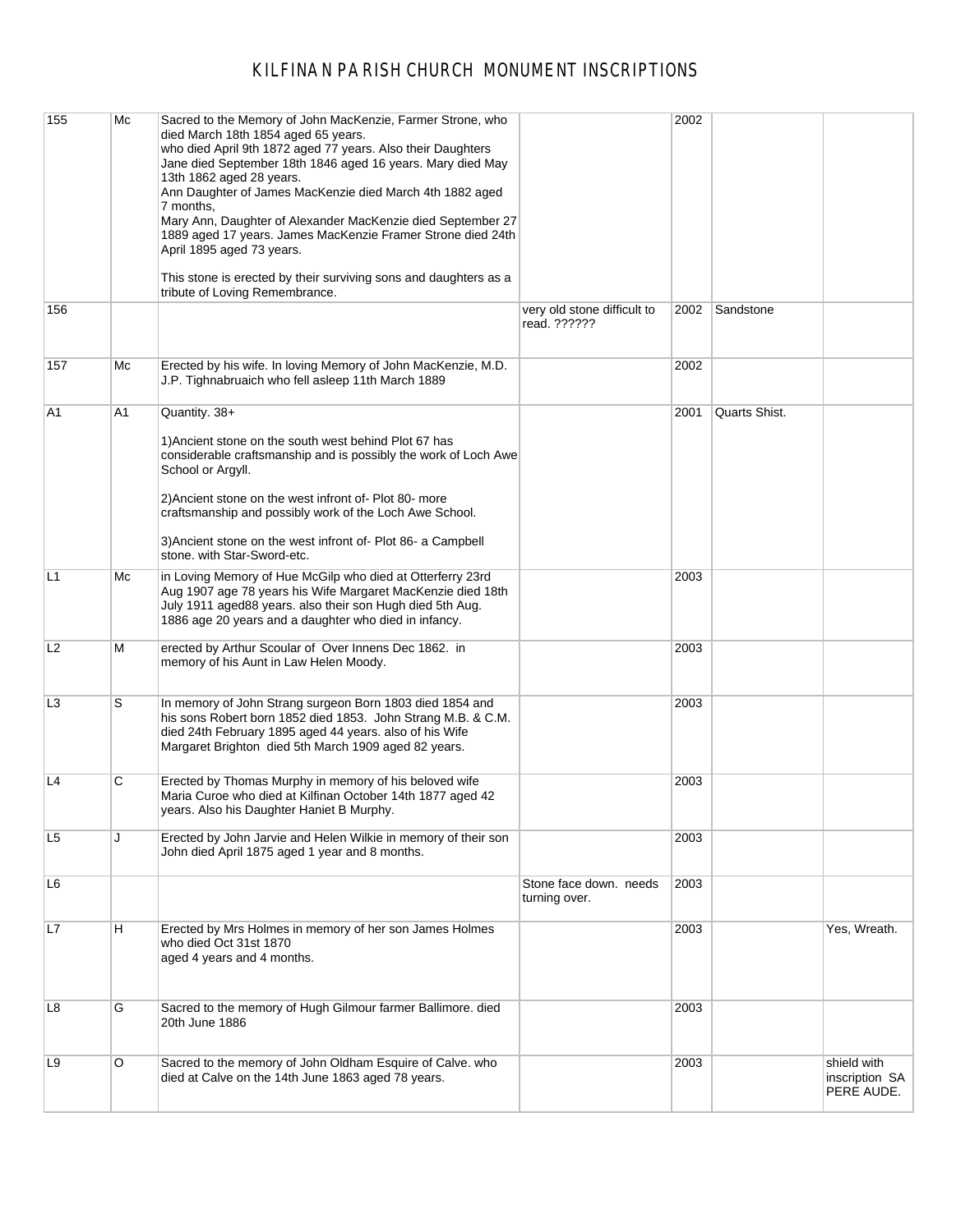| 155            | Mc | Sacred to the Memory of John MacKenzie, Farmer Strone, who<br>died March 18th 1854 aged 65 years.<br>who died April 9th 1872 aged 77 years. Also their Daughters<br>Jane died September 18th 1846 aged 16 years. Mary died May<br>13th 1862 aged 28 years.<br>Ann Daughter of James MacKenzie died March 4th 1882 aged<br>7 months,<br>Mary Ann, Daughter of Alexander MacKenzie died September 27<br>1889 aged 17 years. James MacKenzie Framer Strone died 24th<br>April 1895 aged 73 years.<br>This stone is erected by their surviving sons and daughters as a<br>tribute of Loving Remembrance. |                                             | 2002 |               |                                             |
|----------------|----|------------------------------------------------------------------------------------------------------------------------------------------------------------------------------------------------------------------------------------------------------------------------------------------------------------------------------------------------------------------------------------------------------------------------------------------------------------------------------------------------------------------------------------------------------------------------------------------------------|---------------------------------------------|------|---------------|---------------------------------------------|
| 156            |    |                                                                                                                                                                                                                                                                                                                                                                                                                                                                                                                                                                                                      | very old stone difficult to<br>read. ?????? | 2002 | Sandstone     |                                             |
| 157            | Мc | Erected by his wife. In loving Memory of John MacKenzie, M.D.<br>J.P. Tighnabruaich who fell asleep 11th March 1889                                                                                                                                                                                                                                                                                                                                                                                                                                                                                  |                                             | 2002 |               |                                             |
| A1             | A1 | Quantity. $38+$<br>1) Ancient stone on the south west behind Plot 67 has<br>considerable craftsmanship and is possibly the work of Loch Awe<br>School or Argyll.<br>2) Ancient stone on the west infront of-Plot 80- more<br>craftsmanship and possibly work of the Loch Awe School.<br>3) Ancient stone on the west infront of-Plot 86- a Campbell<br>stone. with Star-Sword-etc.                                                                                                                                                                                                                   |                                             | 2001 | Quarts Shist. |                                             |
| L1             | Mс | in Loving Memory of Hue McGilp who died at Otterferry 23rd<br>Aug 1907 age 78 years his Wife Margaret MacKenzie died 18th<br>July 1911 aged88 years. also their son Hugh died 5th Aug.<br>1886 age 20 years and a daughter who died in infancy.                                                                                                                                                                                                                                                                                                                                                      |                                             | 2003 |               |                                             |
| L2             | Μ  | erected by Arthur Scoular of Over Innens Dec 1862. in<br>memory of his Aunt in Law Helen Moody.                                                                                                                                                                                                                                                                                                                                                                                                                                                                                                      |                                             | 2003 |               |                                             |
| L3             | S  | In memory of John Strang surgeon Born 1803 died 1854 and<br>his sons Robert born 1852 died 1853. John Strang M.B. & C.M.<br>died 24th February 1895 aged 44 years. also of his Wife<br>Margaret Brighton died 5th March 1909 aged 82 years.                                                                                                                                                                                                                                                                                                                                                          |                                             | 2003 |               |                                             |
| L4             | С  | Erected by Thomas Murphy in memory of his beloved wife<br>Maria Curoe who died at Kilfinan October 14th 1877 aged 42<br>years. Also his Daughter Haniet B Murphy.                                                                                                                                                                                                                                                                                                                                                                                                                                    |                                             | 2003 |               |                                             |
| L <sub>5</sub> | J  | Erected by John Jarvie and Helen Wilkie in memory of their son<br>John died April 1875 aged 1 year and 8 months.                                                                                                                                                                                                                                                                                                                                                                                                                                                                                     |                                             | 2003 |               |                                             |
| L6             |    |                                                                                                                                                                                                                                                                                                                                                                                                                                                                                                                                                                                                      | Stone face down. needs<br>turning over.     | 2003 |               |                                             |
| L7             | H  | Erected by Mrs Holmes in memory of her son James Holmes<br>who died Oct 31st 1870<br>aged 4 years and 4 months.                                                                                                                                                                                                                                                                                                                                                                                                                                                                                      |                                             | 2003 |               | Yes, Wreath.                                |
| L8             | G  | Sacred to the memory of Hugh Gilmour farmer Ballimore. died<br>20th June 1886                                                                                                                                                                                                                                                                                                                                                                                                                                                                                                                        |                                             | 2003 |               |                                             |
| L9             | O  | Sacred to the memory of John Oldham Esquire of Calve. who<br>died at Calve on the 14th June 1863 aged 78 years.                                                                                                                                                                                                                                                                                                                                                                                                                                                                                      |                                             | 2003 |               | shield with<br>inscription SA<br>PERE AUDE. |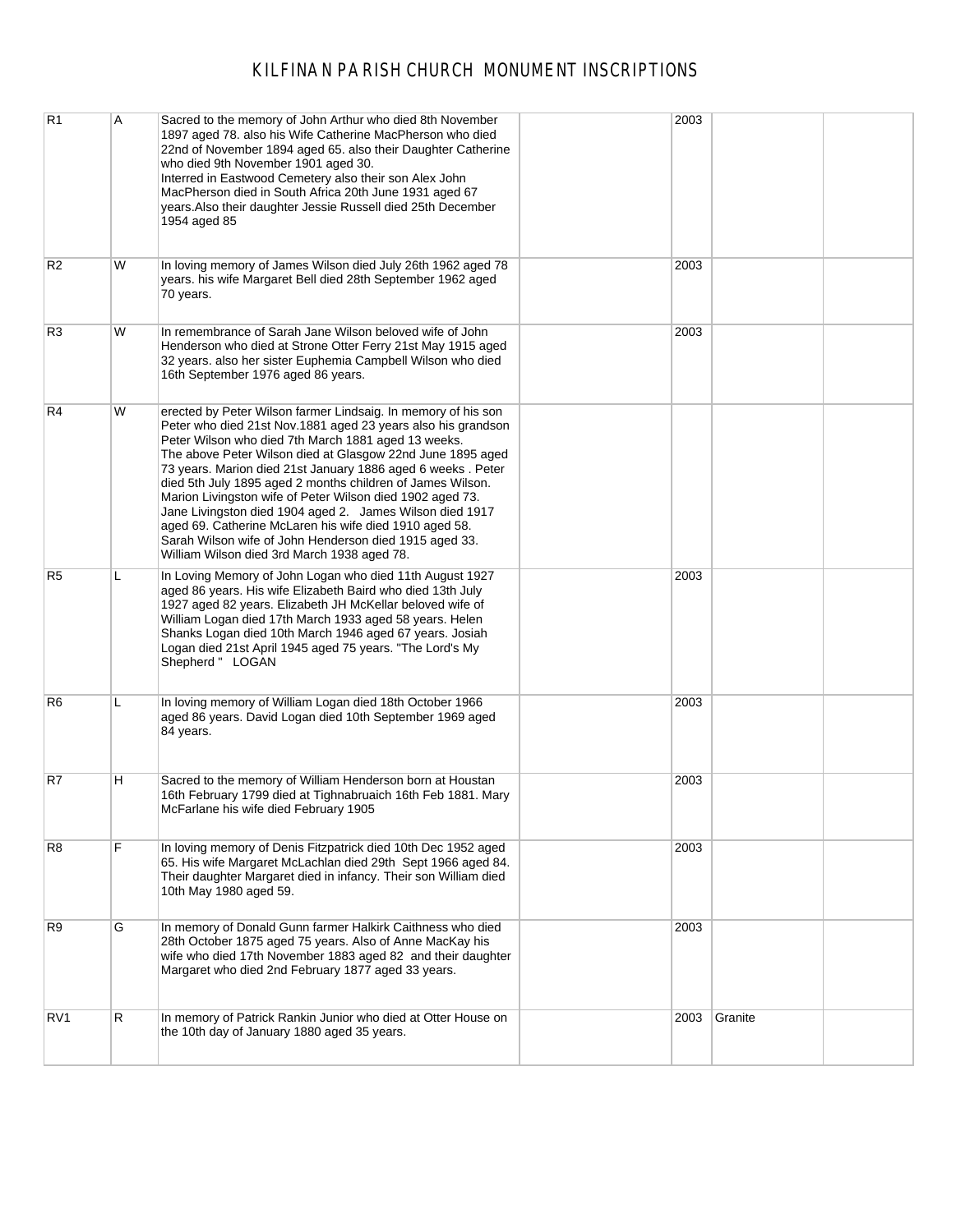| R <sub>1</sub>  | Α | Sacred to the memory of John Arthur who died 8th November<br>1897 aged 78. also his Wife Catherine MacPherson who died<br>22nd of November 1894 aged 65. also their Daughter Catherine<br>who died 9th November 1901 aged 30.<br>Interred in Eastwood Cemetery also their son Alex John<br>MacPherson died in South Africa 20th June 1931 aged 67<br>years. Also their daughter Jessie Russell died 25th December<br>1954 aged 85                                                                                                                                                                                                                                           | 2003 |         |  |
|-----------------|---|-----------------------------------------------------------------------------------------------------------------------------------------------------------------------------------------------------------------------------------------------------------------------------------------------------------------------------------------------------------------------------------------------------------------------------------------------------------------------------------------------------------------------------------------------------------------------------------------------------------------------------------------------------------------------------|------|---------|--|
| R <sub>2</sub>  | W | In loving memory of James Wilson died July 26th 1962 aged 78<br>years. his wife Margaret Bell died 28th September 1962 aged<br>70 years.                                                                                                                                                                                                                                                                                                                                                                                                                                                                                                                                    | 2003 |         |  |
| R <sub>3</sub>  | W | In remembrance of Sarah Jane Wilson beloved wife of John<br>Henderson who died at Strone Otter Ferry 21st May 1915 aged<br>32 years. also her sister Euphemia Campbell Wilson who died<br>16th September 1976 aged 86 years.                                                                                                                                                                                                                                                                                                                                                                                                                                                | 2003 |         |  |
| R4              | W | erected by Peter Wilson farmer Lindsaig. In memory of his son<br>Peter who died 21st Nov.1881 aged 23 years also his grandson<br>Peter Wilson who died 7th March 1881 aged 13 weeks.<br>The above Peter Wilson died at Glasgow 22nd June 1895 aged<br>73 years. Marion died 21st January 1886 aged 6 weeks. Peter<br>died 5th July 1895 aged 2 months children of James Wilson.<br>Marion Livingston wife of Peter Wilson died 1902 aged 73.<br>Jane Livingston died 1904 aged 2. James Wilson died 1917<br>aged 69. Catherine McLaren his wife died 1910 aged 58.<br>Sarah Wilson wife of John Henderson died 1915 aged 33.<br>William Wilson died 3rd March 1938 aged 78. |      |         |  |
| R <sub>5</sub>  | L | In Loving Memory of John Logan who died 11th August 1927<br>aged 86 years. His wife Elizabeth Baird who died 13th July<br>1927 aged 82 years. Elizabeth JH McKellar beloved wife of<br>William Logan died 17th March 1933 aged 58 years. Helen<br>Shanks Logan died 10th March 1946 aged 67 years. Josiah<br>Logan died 21st April 1945 aged 75 years. "The Lord's My<br>Shepherd " LOGAN                                                                                                                                                                                                                                                                                   | 2003 |         |  |
| R6              | L | In loving memory of William Logan died 18th October 1966<br>aged 86 years. David Logan died 10th September 1969 aged<br>84 years.                                                                                                                                                                                                                                                                                                                                                                                                                                                                                                                                           | 2003 |         |  |
| R7              | н | Sacred to the memory of William Henderson born at Houstan<br>16th February 1799 died at Tighnabruaich 16th Feb 1881. Mary<br>McFarlane his wife died February 1905                                                                                                                                                                                                                                                                                                                                                                                                                                                                                                          | 2003 |         |  |
| R8              | F | In loving memory of Denis Fitzpatrick died 10th Dec 1952 aged<br>65. His wife Margaret McLachlan died 29th Sept 1966 aged 84.<br>Their daughter Margaret died in infancy. Their son William died<br>10th May 1980 aged 59.                                                                                                                                                                                                                                                                                                                                                                                                                                                  | 2003 |         |  |
| R9              | G | In memory of Donald Gunn farmer Halkirk Caithness who died<br>28th October 1875 aged 75 years. Also of Anne MacKay his<br>wife who died 17th November 1883 aged 82 and their daughter<br>Margaret who died 2nd February 1877 aged 33 years.                                                                                                                                                                                                                                                                                                                                                                                                                                 | 2003 |         |  |
| RV <sub>1</sub> | R | In memory of Patrick Rankin Junior who died at Otter House on<br>the 10th day of January 1880 aged 35 years.                                                                                                                                                                                                                                                                                                                                                                                                                                                                                                                                                                | 2003 | Granite |  |